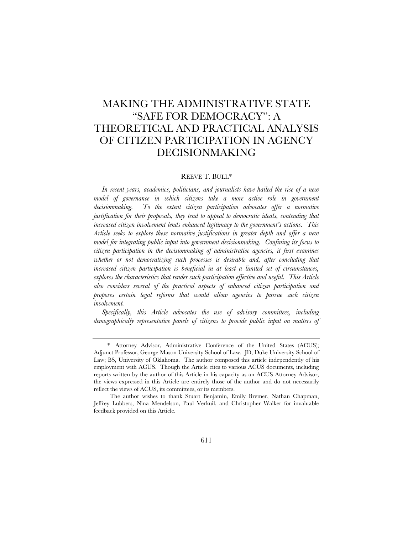# MAKING THE ADMINISTRATIVE STATE "SAFE FOR DEMOCRACY": A THEORETICAL AND PRACTICAL ANALYSIS OF CITIZEN PARTICIPATION IN AGENCY DECISIONMAKING

### REEVE T. BULL\*

*In recent years, academics, politicians, and journalists have hailed the rise of a new*  model of governance in which citizens take a more active role in government *decisionmaking. To the extent citizen participation advocates offer a normative justification for their proposals, they tend to appeal to democratic ideals, contending that increased citizen involvement lends enhanced legitimacy to the government's actions. This Article seeks to explore these normative justifications in greater depth and offer a new model for integrating public input into government decisionmaking. Confining its focus to citizen participation in the decisionmaking of administrative agencies, it first examines whether or not democratizing such processes is desirable and, after concluding that increased citizen participation is beneficial in at least a limited set of circumstances, explores the characteristics that render such participation effective and useful. This Article also considers several of the practical aspects of enhanced citizen participation and proposes certain legal reforms that would allow agencies to pursue such citizen involvement.*

*Specifically, this Article advocates the use of advisory committees, including demographically representative panels of citizens to provide public input on matters of* 

 <sup>\*</sup> Attorney Advisor, Administrative Conference of the United States (ACUS); Adjunct Professor, George Mason University School of Law. JD, Duke University School of Law; BS, University of Oklahoma. The author composed this article independently of his employment with ACUS. Though the Article cites to various ACUS documents, including reports written by the author of this Article in his capacity as an ACUS Attorney Advisor, the views expressed in this Article are entirely those of the author and do not necessarily reflect the views of ACUS, its committees, or its members.

The author wishes to thank Stuart Benjamin, Emily Bremer, Nathan Chapman, Jeffrey Lubbers, Nina Mendelson, Paul Verkuil, and Christopher Walker for invaluable feedback provided on this Article.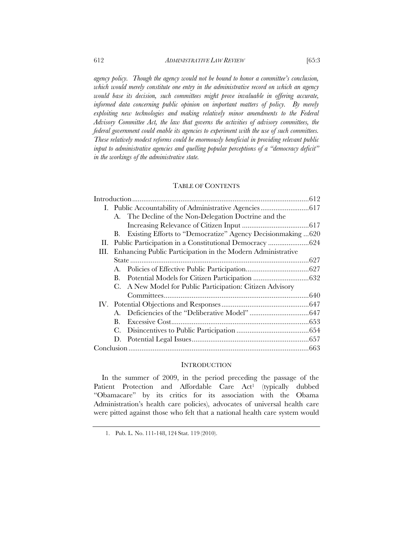*agency policy. Though the agency would not be bound to honor a committee's conclusion, which would merely constitute one entry in the administrative record on which an agency would base its decision, such committees might prove invaluable in offering accurate, informed data concerning public opinion on important matters of policy. By merely exploiting new technologies and making relatively minor amendments to the Federal Advisory Committee Act, the law that governs the activities of advisory committees, the federal government could enable its agencies to experiment with the use of such committees. These relatively modest reforms could be enormously beneficial in providing relevant public input to administrative agencies and quelling popular perceptions of a "democracy deficit" in the workings of the administrative state.* 

## TABLE OF CONTENTS

|    |                                                             | A. The Decline of the Non-Delegation Doctrine and the        |  |
|----|-------------------------------------------------------------|--------------------------------------------------------------|--|
|    |                                                             |                                                              |  |
|    | В.                                                          | Existing Efforts to "Democratize" Agency Decision making 620 |  |
| П. |                                                             | Public Participation in a Constitutional Democracy 624       |  |
| Ш. | Enhancing Public Participation in the Modern Administrative |                                                              |  |
|    |                                                             |                                                              |  |
|    | A.                                                          |                                                              |  |
|    | В.                                                          |                                                              |  |
|    | C.                                                          | A New Model for Public Participation: Citizen Advisory       |  |
|    |                                                             |                                                              |  |
|    |                                                             |                                                              |  |
|    | $A_{\cdot}$                                                 |                                                              |  |
|    | В.                                                          |                                                              |  |
|    | С.                                                          |                                                              |  |
|    | D.                                                          |                                                              |  |
|    |                                                             |                                                              |  |

#### **INTRODUCTION**

In the summer of 2009, in the period preceding the passage of the Patient Protection and Affordable Care Act<sup>1</sup> (typically dubbed "Obamacare" by its critics for its association with the Obama Administration's health care policies), advocates of universal health care were pitted against those who felt that a national health care system would

 <sup>1.</sup> Pub. L. No. 111-148, 124 Stat. 119 (2010).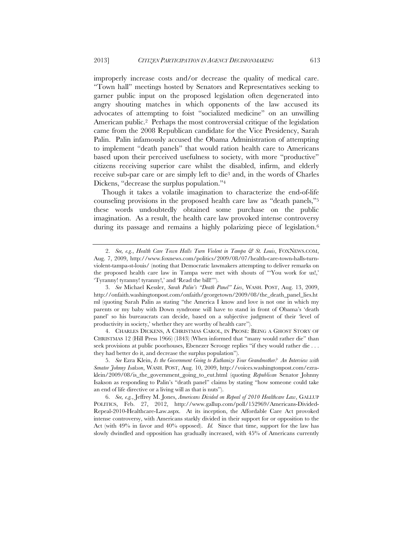improperly increase costs and/or decrease the quality of medical care. "Town hall" meetings hosted by Senators and Representatives seeking to garner public input on the proposed legislation often degenerated into angry shouting matches in which opponents of the law accused its advocates of attempting to foist "socialized medicine" on an unwilling American public.2 Perhaps the most controversial critique of the legislation came from the 2008 Republican candidate for the Vice Presidency, Sarah Palin. Palin infamously accused the Obama Administration of attempting to implement "death panels" that would ration health care to Americans based upon their perceived usefulness to society, with more "productive" citizens receiving superior care whilst the disabled, infirm, and elderly receive sub-par care or are simply left to die3 and, in the words of Charles Dickens, "decrease the surplus population."4

Though it takes a volatile imagination to characterize the end-of-life counseling provisions in the proposed health care law as "death panels,"5 these words undoubtedly obtained some purchase on the public imagination. As a result, the health care law provoked intense controversy during its passage and remains a highly polarizing piece of legislation.<sup>6</sup>

 4. CHARLES DICKENS, A CHRISTMAS CAROL, IN PROSE: BEING A GHOST STORY OF CHRISTMAS 12 (Hill Press 1966) (1843) (When informed that "many would rather die" than seek provisions at public poorhouses, Ebenezer Scrooge replies "if they would rather die . . . they had better do it, and decrease the surplus population").

 <sup>2.</sup> *See, e.g.*, *Health Care Town Halls Turn Violent in Tampa & St. Louis*, FOXNEWS.COM, Aug. 7, 2009, http://www.foxnews.com/politics/2009/08/07/health-care-town-halls-turnviolent-tampa-st-louis/ (noting that Democratic lawmakers attempting to deliver remarks on the proposed health care law in Tampa were met with shouts of "'You work for us!,' 'Tyranny! tyranny! tyranny!,' and 'Read the bill!'").

 <sup>3.</sup> *See* Michael Kessler, *Sarah Palin's "Death Panel" Lies*, WASH. POST, Aug. 13, 2009, http://onfaith.washingtonpost.com/onfaith/georgetown/2009/08/the\_death\_panel\_lies.ht ml (quoting Sarah Palin as stating "the America I know and love is not one in which my parents or my baby with Down syndrome will have to stand in front of Obama's 'death panel' so his bureaucrats can decide, based on a subjective judgment of their 'level of productivity in society,' whether they are worthy of health care").

 <sup>5.</sup> *See* Ezra Klein, *Is the Government Going to Euthanize Your Grandmother? An Interview with Senator Johnny Isakson*, WASH. POST, Aug. 10, 2009, http://voices.washingtonpost.com/ezraklein/2009/08/is\_the\_government\_going\_to\_eut.html (quoting *Republican* Senator Johnny Isakson as responding to Palin's "death panel" claims by stating "how someone could take an end of life directive or a living will as that is nuts").

 <sup>6.</sup> *See, e.g.*, Jeffrey M. Jones, *Americans Divided on Repeal of 2010 Healthcare Law*, GALLUP POLITICS, Feb. 27, 2012, http://www.gallup.com/poll/152969/Americans-Divided-Repeal-2010-Healthcare-Law.aspx. At its inception, the Affordable Care Act provoked intense controversy, with Americans starkly divided in their support for or opposition to the Act (with 49% in favor and 40% opposed). *Id.* Since that time, support for the law has slowly dwindled and opposition has gradually increased, with 45% of Americans currently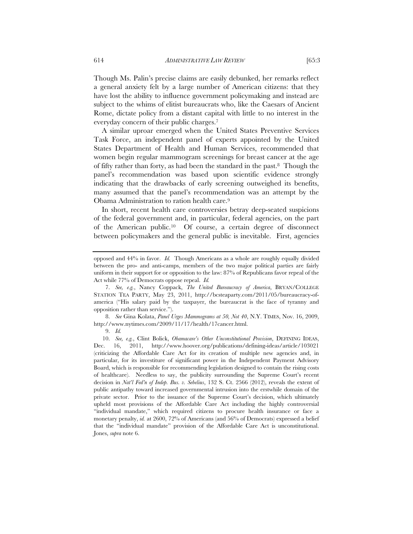Though Ms. Palin's precise claims are easily debunked, her remarks reflect a general anxiety felt by a large number of American citizens: that they have lost the ability to influence government policymaking and instead are subject to the whims of elitist bureaucrats who, like the Caesars of Ancient Rome, dictate policy from a distant capital with little to no interest in the everyday concern of their public charges.7

A similar uproar emerged when the United States Preventive Services Task Force, an independent panel of experts appointed by the United States Department of Health and Human Services, recommended that women begin regular mammogram screenings for breast cancer at the age of fifty rather than forty, as had been the standard in the past.8 Though the panel's recommendation was based upon scientific evidence strongly indicating that the drawbacks of early screening outweighed its benefits, many assumed that the panel's recommendation was an attempt by the Obama Administration to ration health care.9

In short, recent health care controversies betray deep-seated suspicions of the federal government and, in particular, federal agencies, on the part of the American public.10 Of course, a certain degree of disconnect between policymakers and the general public is inevitable. First, agencies

 8. *See* Gina Kolata, *Panel Urges Mammograms at 50, Not 40*, N.Y. TIMES, Nov. 16, 2009, http://www.nytimes.com/2009/11/17/health/17cancer.html.

opposed and 44% in favor. *Id.* Though Americans as a whole are roughly equally divided between the pro- and anti-camps, members of the two major political parties are fairly uniform in their support for or opposition to the law: 87% of Republicans favor repeal of the Act while 77% of Democrats oppose repeal. *Id.*

 <sup>7.</sup> *See, e.g.*, Nancy Coppack, *The United Bureaucracy of America*, BRYAN/COLLEGE STATION TEA PARTY, May 23, 2011, http://bcsteaparty.com/2011/05/bureaucracy-ofamerica ("His salary paid by the taxpayer, the bureaucrat is the face of tyranny and opposition rather than service.").

 <sup>9.</sup> *Id.* 

 <sup>10.</sup> *See, e.g.*, Clint Bolick, *Obamacare's Other Unconstitutional Provision*, DEFINING IDEAS, Dec. 16, 2011, http://www.hoover.org/publications/defining-ideas/article/103021 (criticizing the Affordable Care Act for its creation of multiple new agencies and, in particular, for its investiture of significant power in the Independent Payment Advisory Board, which is responsible for recommending legislation designed to contain the rising costs of healthcare). Needless to say, the publicity surrounding the Supreme Court's recent decision in *Nat'l Fed'n of Indep. Bus. v. Sebelius*, 132 S. Ct. 2566 (2012), reveals the extent of public antipathy toward increased governmental intrusion into the erstwhile domain of the private sector. Prior to the issuance of the Supreme Court's decision, which ultimately upheld most provisions of the Affordable Care Act including the highly controversial "individual mandate," which required citizens to procure health insurance or face a monetary penalty, *id.* at 2600, 72% of Americans (and 56% of Democrats) expressed a belief that the "individual mandate" provision of the Affordable Care Act is unconstitutional. Jones, *supra* note 6.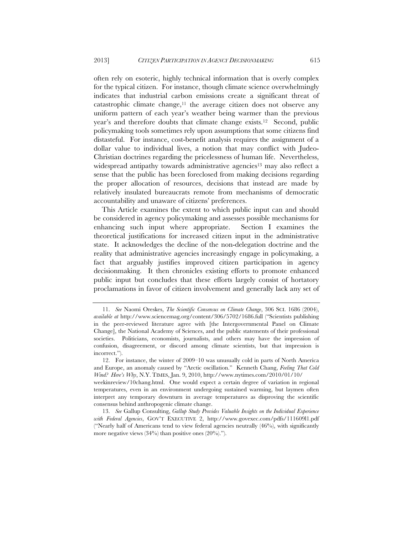often rely on esoteric, highly technical information that is overly complex for the typical citizen. For instance, though climate science overwhelmingly indicates that industrial carbon emissions create a significant threat of catastrophic climate change, $11$  the average citizen does not observe any uniform pattern of each year's weather being warmer than the previous year's and therefore doubts that climate change exists.12 Second, public policymaking tools sometimes rely upon assumptions that some citizens find distasteful. For instance, cost-benefit analysis requires the assignment of a dollar value to individual lives, a notion that may conflict with Judeo-Christian doctrines regarding the pricelessness of human life. Nevertheless, widespread antipathy towards administrative agencies<sup>13</sup> may also reflect a sense that the public has been foreclosed from making decisions regarding the proper allocation of resources, decisions that instead are made by relatively insulated bureaucrats remote from mechanisms of democratic accountability and unaware of citizens' preferences.

This Article examines the extent to which public input can and should be considered in agency policymaking and assesses possible mechanisms for enhancing such input where appropriate. Section I examines the theoretical justifications for increased citizen input in the administrative state. It acknowledges the decline of the non-delegation doctrine and the reality that administrative agencies increasingly engage in policymaking, a fact that arguably justifies improved citizen participation in agency decisionmaking. It then chronicles existing efforts to promote enhanced public input but concludes that these efforts largely consist of hortatory proclamations in favor of citizen involvement and generally lack any set of

 <sup>11.</sup> *See* Naomi Oreskes, *The Scientific Consensus on Climate Change*, 306 SCI. 1686 (2004), *available at* http://www.sciencemag.org/content/306/5702/1686.full ("Scientists publishing in the peer-reviewed literature agree with [the Intergovernmental Panel on Climate Change], the National Academy of Sciences, and the public statements of their professional societies. Politicians, economists, journalists, and others may have the impression of confusion, disagreement, or discord among climate scientists, but that impression is incorrect.").

 <sup>12.</sup> For instance, the winter of 2009–10 was unusually cold in parts of North America and Europe, an anomaly caused by "Arctic oscillation." Kenneth Chang, *Feeling That Cold Wind? Here's Why*, N.Y. TIMES, Jan. 9, 2010, http://www.nytimes.com/2010/01/10/

weekinreview/10chang.html. One would expect a certain degree of variation in regional temperatures, even in an environment undergoing sustained warming, but laymen often interpret any temporary downturn in average temperatures as disproving the scientific consensus behind anthropogenic climate change.

 <sup>13.</sup> *See* Gallup Consulting, *Gallup Study Provides Valuable Insights on the Individual Experience with Federal Agencies*, GOV'T EXECUTIVE 2, http://www.govexec.com/pdfs/111609l1.pdf ("Nearly half of Americans tend to view federal agencies neutrally (46%), with significantly more negative views  $(34\%)$  than positive ones  $(20\%)$ .").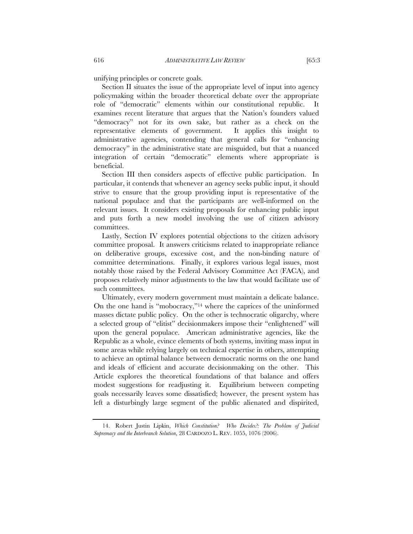unifying principles or concrete goals.

Section II situates the issue of the appropriate level of input into agency policymaking within the broader theoretical debate over the appropriate role of "democratic" elements within our constitutional republic. It examines recent literature that argues that the Nation's founders valued "democracy" not for its own sake, but rather as a check on the representative elements of government. It applies this insight to administrative agencies, contending that general calls for "enhancing democracy" in the administrative state are misguided, but that a nuanced integration of certain "democratic" elements where appropriate is beneficial.

Section III then considers aspects of effective public participation. In particular, it contends that whenever an agency seeks public input, it should strive to ensure that the group providing input is representative of the national populace and that the participants are well-informed on the relevant issues. It considers existing proposals for enhancing public input and puts forth a new model involving the use of citizen advisory committees.

Lastly, Section IV explores potential objections to the citizen advisory committee proposal. It answers criticisms related to inappropriate reliance on deliberative groups, excessive cost, and the non-binding nature of committee determinations. Finally, it explores various legal issues, most notably those raised by the Federal Advisory Committee Act (FACA), and proposes relatively minor adjustments to the law that would facilitate use of such committees.

Ultimately, every modern government must maintain a delicate balance. On the one hand is "mobocracy,"14 where the caprices of the uninformed masses dictate public policy. On the other is technocratic oligarchy, where a selected group of "elitist" decisionmakers impose their "enlightened" will upon the general populace. American administrative agencies, like the Republic as a whole, evince elements of both systems, inviting mass input in some areas while relying largely on technical expertise in others, attempting to achieve an optimal balance between democratic norms on the one hand and ideals of efficient and accurate decisionmaking on the other. This Article explores the theoretical foundations of that balance and offers modest suggestions for readjusting it. Equilibrium between competing goals necessarily leaves some dissatisfied; however, the present system has left a disturbingly large segment of the public alienated and dispirited,

 <sup>14.</sup> Robert Justin Lipkin, *Which Constitution? Who Decides?: The Problem of Judicial Supremacy and the Interbranch Solution*, 28 CARDOZO L. REV. 1055, 1076 (2006).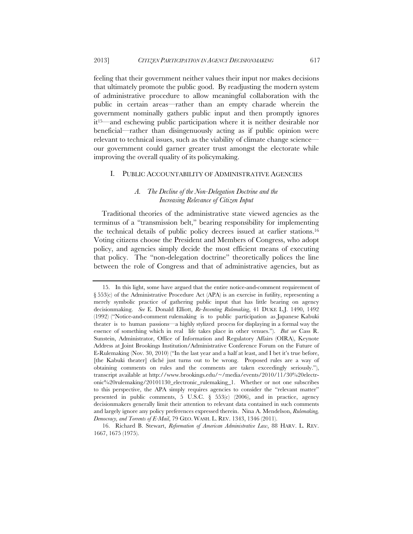feeling that their government neither values their input nor makes decisions that ultimately promote the public good. By readjusting the modern system of administrative procedure to allow meaningful collaboration with the public in certain areas—rather than an empty charade wherein the government nominally gathers public input and then promptly ignores it15—and eschewing public participation where it is neither desirable nor beneficial—rather than disingenuously acting as if public opinion were relevant to technical issues, such as the viability of climate change science our government could garner greater trust amongst the electorate while improving the overall quality of its policymaking.

#### I. PUBLIC ACCOUNTABILITY OF ADMINISTRATIVE AGENCIES

# *A. The Decline of the Non-Delegation Doctrine and the Increasing Relevance of Citizen Input*

Traditional theories of the administrative state viewed agencies as the terminus of a "transmission belt," bearing responsibility for implementing the technical details of public policy decrees issued at earlier stations.16 Voting citizens choose the President and Members of Congress, who adopt policy, and agencies simply decide the most efficient means of executing that policy. The "non-delegation doctrine" theoretically polices the line between the role of Congress and that of administrative agencies, but as

 16. Richard B. Stewart, *Reformation of American Administrative Law*, 88 HARV. L. REV. 1667, 1675 (1975).

 <sup>15.</sup> In this light, some have argued that the entire notice-and-comment requirement of § 553(c) of the Administrative Procedure Act (APA) is an exercise in futility, representing a merely symbolic practice of gathering public input that has little bearing on agency decisionmaking. *See* E. Donald Elliott, *Re-Inventing Rulemaking*, 41 DUKE L.J. 1490, 1492 (1992) ("Notice-and-comment rulemaking is to public participation as Japanese Kabuki theater is to human passions—a highly stylized process for displaying in a formal way the essence of something which in real life takes place in other venues."). *But see* Cass R. Sunstein, Administrator, Office of Information and Regulatory Affairs (OIRA), Keynote Address at Joint Brookings Institution/Administrative Conference Forum on the Future of E-Rulemaking (Nov. 30, 2010) ("In the last year and a half at least, and I bet it's true before, [the Kabuki theater] cliché just turns out to be wrong. Proposed rules are a way of obtaining comments on rules and the comments are taken exceedingly seriously."), transcript available at http://www.brookings.edu/~/media/events/2010/11/30%20electronic%20rulemaking/20101130\_electronic\_rulemaking\_1. Whether or not one subscribes to this perspective, the APA simply requires agencies to consider the "relevant matter" presented in public comments,  $5 \text{ U.S.C. } \xi$  553(c) (2006), and in practice, agency decisionmakers generally limit their attention to relevant data contained in such comments and largely ignore any policy preferences expressed therein. Nina A. Mendelson, *Rulemaking, Democracy, and Torrents of E-Mail*, 79 GEO. WASH. L. REV. 1343, 1346 (2011).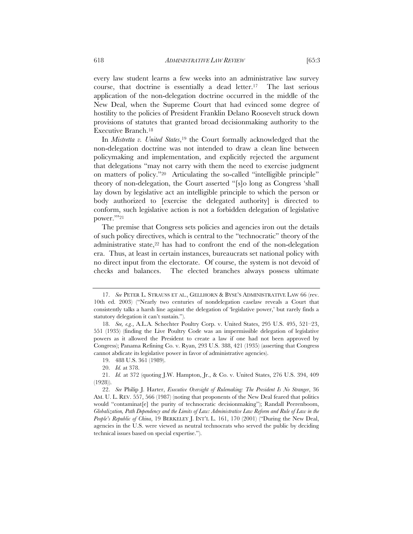every law student learns a few weeks into an administrative law survey course, that doctrine is essentially a dead letter.<sup>17</sup> The last serious application of the non-delegation doctrine occurred in the middle of the New Deal, when the Supreme Court that had evinced some degree of hostility to the policies of President Franklin Delano Roosevelt struck down provisions of statutes that granted broad decisionmaking authority to the Executive Branch.18

In *Mistretta v. United States*,19 the Court formally acknowledged that the non-delegation doctrine was not intended to draw a clean line between policymaking and implementation, and explicitly rejected the argument that delegations "may not carry with them the need to exercise judgment on matters of policy."20 Articulating the so-called "intelligible principle" theory of non-delegation, the Court asserted "[s]o long as Congress 'shall lay down by legislative act an intelligible principle to which the person or body authorized to [exercise the delegated authority] is directed to conform, such legislative action is not a forbidden delegation of legislative power."<sup>21</sup>

The premise that Congress sets policies and agencies iron out the details of such policy directives, which is central to the "technocratic" theory of the administrative state,<sup>22</sup> has had to confront the end of the non-delegation era. Thus, at least in certain instances, bureaucrats set national policy with no direct input from the electorate. Of course, the system is not devoid of checks and balances. The elected branches always possess ultimate

 <sup>17.</sup> *See* PETER L. STRAUSS ET AL., GELLHORN & BYSE'S ADMINISTRATIVE LAW 66 (rev. 10th ed. 2003) ("Nearly two centuries of nondelegation caselaw reveals a Court that consistently talks a harsh line against the delegation of 'legislative power,' but rarely finds a statutory delegation it can't sustain.").

 <sup>18.</sup> *See, e.g.*, A.L.A. Schechter Poultry Corp. v. United States, 295 U.S. 495, 521–23, 551 (1935) (finding the Live Poultry Code was an impermissible delegation of legislative powers as it allowed the President to create a law if one had not been approved by Congress); Panama Refining Co. v. Ryan, 293 U.S. 388, 421 (1935) (asserting that Congress cannot abdicate its legislative power in favor of administrative agencies).

 <sup>19. 488</sup> U.S. 361 (1989).

 <sup>20.</sup> *Id.* at 378.

 <sup>21.</sup> *Id.* at 372 (quoting J.W. Hampton, Jr., & Co. v. United States, 276 U.S. 394, 409 (1928)).

 <sup>22.</sup> *See* Philip J. Harter, *Executive Oversight of Rulemaking: The President Is No Stranger*, 36 AM. U. L. REV. 557, 566 (1987) (noting that proponents of the New Deal feared that politics would "contaminat[e] the purity of technocratic decisionmaking"); Randall Peerenboom, *Globalization, Path Dependency and the Limits of Law: Administrative Law Reform and Rule of Law in the People's Republic of China*, 19 BERKELEY J. INT'L L. 161, 170 (2001) ("During the New Deal, agencies in the U.S. were viewed as neutral technocrats who served the public by deciding technical issues based on special expertise.").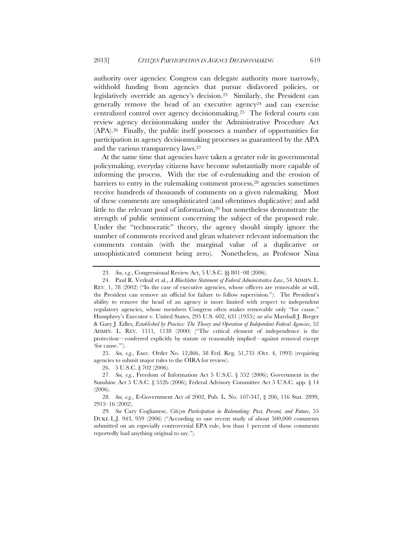authority over agencies: Congress can delegate authority more narrowly, withhold funding from agencies that pursue disfavored policies, or legislatively override an agency's decision.23 Similarly, the President can generally remove the head of an executive agency<sup>24</sup> and can exercise centralized control over agency decisionmaking.25 The federal courts can review agency decisionmaking under the Administrative Procedure Act (APA).26 Finally, the public itself possesses a number of opportunities for participation in agency decisionmaking processes as guaranteed by the APA and the various transparency laws.27

At the same time that agencies have taken a greater role in governmental policymaking, everyday citizens have become substantially more capable of informing the process. With the rise of e-rulemaking and the erosion of barriers to entry in the rulemaking comment process,28 agencies sometimes receive hundreds of thousands of comments on a given rulemaking. Most of these comments are unsophisticated (and oftentimes duplicative) and add little to the relevant pool of information,29 but nonetheless demonstrate the strength of public sentiment concerning the subject of the proposed rule. Under the "technocratic" theory, the agency should simply ignore the number of comments received and glean whatever relevant information the comments contain (with the marginal value of a duplicative or unsophisticated comment being zero). Nonetheless, as Professor Nina

 25. *See, e.g.*, Exec. Order No. 12,866, 58 Fed. Reg. 51,735 (Oct. 4, 1993) (requiring agencies to submit major rules to the OIRA for review).

26. 5 U.S.C. § 702 (2006).

 <sup>23.</sup> *See, e.g.*, Congressional Review Act, 5 U.S.C. §§ 801–08 (2006).

 <sup>24.</sup> Paul R. Verkuil et al., *A Blackletter Statement of Federal Administrative Law*, 54 ADMIN. L. REV. 1, 78 (2002) ("In the case of executive agencies, whose officers are removable at will, the President can remove an official for failure to follow supervision."). The President's ability to remove the head of an agency is more limited with respect to independent regulatory agencies, whose members Congress often makes removable only "for cause." Humphrey's Executor v. United States, 295 U.S. 602, 631 (1935); *see also* Marshall J. Breger & Gary J. Edles, *Established by Practice: The Theory and Operation of Independent Federal Agencies*, 52 ADMIN. L. REV. 1111, 1138 (2000) ("The critical element of independence is the protection—conferred explicitly by statute or reasonably implied—against removal except 'for cause.'").

 <sup>27.</sup> *See, e.g.*, Freedom of Information Act 5 U.S.C. § 552 (2006); Government in the Sunshine Act 5 U.S.C. § 552b (2006); Federal Advisory Committee Act 5 U.S.C. app. § 14 (2006).

 <sup>28.</sup> *See, e.g.*, E-Government Act of 2002, Pub. L. No. 107-347, § 206, 116 Stat. 2899, 2915–16 (2002).

 <sup>29.</sup> *See* Cary Coglianese, *Citizen Participation in Rulemaking: Past, Present, and Future*, 55 DUKE L.J. 943, 959 (2006) ("According to one recent study of about 500,000 comments submitted on an especially controversial EPA rule, less than 1 percent of those comments reportedly had anything original to say.").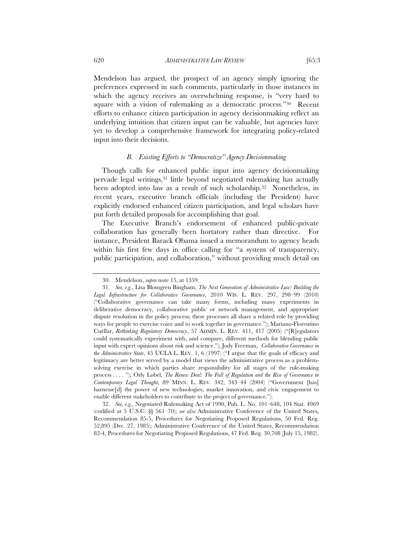Mendelson has argued, the prospect of an agency simply ignoring the preferences expressed in such comments, particularly in those instances in which the agency receives an overwhelming response, is "very hard to square with a vision of rulemaking as a democratic process."<sup>30</sup> Recent efforts to enhance citizen participation in agency decisionmaking reflect an underlying intuition that citizen input can be valuable, but agencies have yet to develop a comprehensive framework for integrating policy-related

#### *B. Existing Efforts to "Democratize" Agency Decisionmaking*

Though calls for enhanced public input into agency decisionmaking pervade legal writings,31 little beyond negotiated rulemaking has actually been adopted into law as a result of such scholarship.32 Nonetheless, in recent years, executive branch officials (including the President) have explicitly endorsed enhanced citizen participation, and legal scholars have put forth detailed proposals for accomplishing that goal.

The Executive Branch's endorsement of enhanced public-private collaboration has generally been hortatory rather than directive. For instance, President Barack Obama issued a memorandum to agency heads within his first few days in office calling for "a system of transparency, public participation, and collaboration," without providing much detail on

 32. *See, e.g.*, Negotiated Rulemaking Act of 1990, Pub. L. No. 101–648, 104 Stat. 4969 (codified at 5 U.S.C. §§ 561–70); *see also* Administrative Conference of the United States, Recommendation 85-5, Procedures for Negotiating Proposed Regulations, 50 Fed. Reg. 52,895 (Dec. 27, 1985); Administrative Conference of the United States, Recommendation 82-4, Procedures for Negotiating Proposed Regulations, 47 Fed. Reg. 30,708 (July 15, 1982).

input into their decisions.

 <sup>30.</sup> Mendelson, *supra* note 15, at 1359.

 <sup>31.</sup> *See, e.g.*, Lisa Blomgren Bingham, *The Next Generation of Administrative Law: Building the Legal Infrastructure for Collaborative Governance*, 2010 WIS. L. REV. 297, 298–99 (2010) ("Collaborative governance can take many forms, including many experiments in deliberative democracy, collaborative public or network management, and appropriate dispute resolution in the policy process; these processes all share a related role by providing ways for people to exercise voice and to work together in governance."); Mariano-Florentino Cuéllar, *Rethinking Regulatory Democracy*, 57 ADMIN. L. REV. 411, 417 (2005) ("[R]egulators could systematically experiment with, and compare, different methods for blending public input with expert opinions about risk and science."); Jody Freeman, *Collaborative Governance in the Administrative State*, 45 UCLA L. REV. 1, 6 (1997) ("I argue that the goals of efficacy and legitimacy are better served by a model that views the administrative process as a problemsolving exercise in which parties share responsibility for all stages of the rule-making process . . . . "); Orly Lobel, *The Renew Deal: The Fall of Regulation and the Rise of Governance in Contemporary Legal Thought*, 89 MINN. L. REV. 342, 343–44 (2004) ("Government [has] harnesse<sup>[d]</sup> the power of new technologies, market innovation, and civic engagement to enable different stakeholders to contribute to the project of governance.").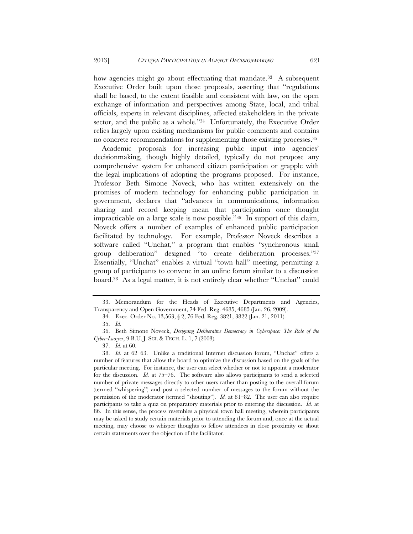how agencies might go about effectuating that mandate.<sup>33</sup> A subsequent Executive Order built upon those proposals, asserting that "regulations shall be based, to the extent feasible and consistent with law, on the open exchange of information and perspectives among State, local, and tribal officials, experts in relevant disciplines, affected stakeholders in the private sector, and the public as a whole."<sup>34</sup> Unfortunately, the Executive Order relies largely upon existing mechanisms for public comments and contains no concrete recommendations for supplementing those existing processes.35

Academic proposals for increasing public input into agencies' decisionmaking, though highly detailed, typically do not propose any comprehensive system for enhanced citizen participation or grapple with the legal implications of adopting the programs proposed. For instance, Professor Beth Simone Noveck, who has written extensively on the promises of modern technology for enhancing public participation in government, declares that "advances in communications, information sharing and record keeping mean that participation once thought impracticable on a large scale is now possible."36 In support of this claim, Noveck offers a number of examples of enhanced public participation facilitated by technology. For example, Professor Noveck describes a software called "Unchat," a program that enables "synchronous small group deliberation" designed "to create deliberation processes."37 Essentially, "Unchat" enables a virtual "town hall" meeting, permitting a group of participants to convene in an online forum similar to a discussion board.38 As a legal matter, it is not entirely clear whether "Unchat" could

 <sup>33.</sup> Memorandum for the Heads of Executive Departments and Agencies, Transparency and Open Government, 74 Fed. Reg. 4685, 4685 (Jan. 26, 2009).

<sup>34.</sup> Exec. Order No. 13,563, § 2, 76 Fed. Reg. 3821, 3822 (Jan. 21, 2011).

 <sup>35.</sup> *Id.*

 <sup>36.</sup> Beth Simone Noveck, *Designing Deliberative Democracy in Cyberspace: The Role of the Cyber-Lawyer*, 9 B.U. J. SCI. & TECH. L. 1, 7 (2003).

 <sup>37.</sup> *Id.* at 60.

 <sup>38.</sup> *Id.* at 62–63. Unlike a traditional Internet discussion forum, "Unchat" offers a number of features that allow the board to optimize the discussion based on the goals of the particular meeting. For instance, the user can select whether or not to appoint a moderator for the discussion. *Id.* at 75–76. The software also allows participants to send a selected number of private messages directly to other users rather than posting to the overall forum (termed "whispering") and post a selected number of messages to the forum without the permission of the moderator (termed "shouting"). *Id.* at 81–82. The user can also require participants to take a quiz on preparatory materials prior to entering the discussion. *Id.* at 86. In this sense, the process resembles a physical town hall meeting, wherein participants may be asked to study certain materials prior to attending the forum and, once at the actual meeting, may choose to whisper thoughts to fellow attendees in close proximity or shout certain statements over the objection of the facilitator.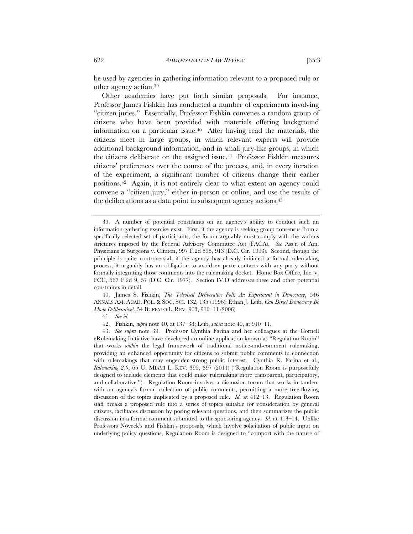be used by agencies in gathering information relevant to a proposed rule or other agency action.39

Other academics have put forth similar proposals. For instance, Professor James Fishkin has conducted a number of experiments involving "citizen juries." Essentially, Professor Fishkin convenes a random group of citizens who have been provided with materials offering background information on a particular issue.40 After having read the materials, the citizens meet in large groups, in which relevant experts will provide additional background information, and in small jury-like groups, in which the citizens deliberate on the assigned issue.41 Professor Fishkin measures citizens' preferences over the course of the process, and, in every iteration of the experiment, a significant number of citizens change their earlier positions.42 Again, it is not entirely clear to what extent an agency could convene a "citizen jury," either in-person or online, and use the results of the deliberations as a data point in subsequent agency actions.43

 40. James S. Fishkin, *The Televised Deliberative Poll: An Experiment in Democracy*, 546 ANNALS AM. ACAD. POL. & SOC. SCI. 132, 135 (1996); Ethan J. Leib, *Can Direct Democracy Be Made Deliberative?*, 54 BUFFALO L. REV. 903, 910–11 (2006).

41. *See id.*

42. Fishkin, *supra* note 40, at 137–38; Leib, *supra* note 40, at 910–11.

 43. *See supra* note 39. Professor Cynthia Farina and her colleagues at the Cornell eRulemaking Initiative have developed an online application known as "Regulation Room" that works *within* the legal framework of traditional notice-and-comment rulemaking, providing an enhanced opportunity for citizens to submit public comments in connection with rulemakings that may engender strong public interest. Cynthia R. Farina et al., *Rulemaking 2.0*, 65 U. MIAMI L. REV. 395, 397 (2011) ("Regulation Room is purposefully designed to include elements that could make rulemaking more transparent, participatory, and collaborative."). Regulation Room involves a discussion forum that works in tandem with an agency's formal collection of public comments, permitting a more free-flowing discussion of the topics implicated by a proposed rule. *Id.* at 412–13. Regulation Room staff breaks a proposed rule into a series of topics suitable for consideration by general citizens, facilitates discussion by posing relevant questions, and then summarizes the public discussion in a formal comment submitted to the sponsoring agency. *Id.* at 413–14. Unlike Professors Noveck's and Fishkin's proposals, which involve solicitation of public input on underlying policy questions, Regulation Room is designed to "comport with the nature of

 <sup>39.</sup> A number of potential constraints on an agency's ability to conduct such an information-gathering exercise exist. First, if the agency is seeking group consensus from a specifically selected set of participants, the forum arguably must comply with the various strictures imposed by the Federal Advisory Committee Act (FACA). *See* Ass'n of Am. Physicians & Surgeons v. Clinton, 997 F.2d 898, 913 (D.C. Cir. 1993). Second, though the principle is quite controversial, if the agency has already initiated a formal rulemaking process, it arguably has an obligation to avoid ex parte contacts with any party without formally integrating those comments into the rulemaking docket. Home Box Office, Inc. v. FCC, 567 F.2d 9, 57 (D.C. Cir. 1977). Section IV.D addresses these and other potential constraints in detail.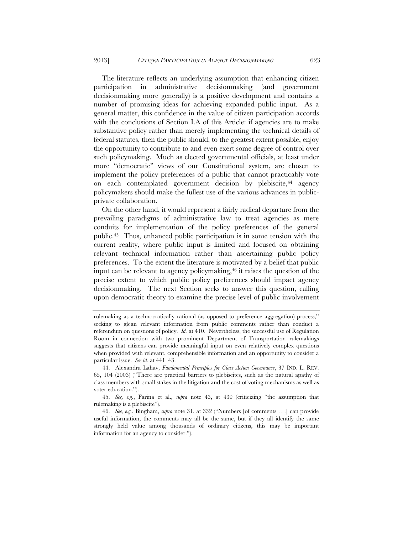The literature reflects an underlying assumption that enhancing citizen participation in administrative decisionmaking (and government decisionmaking more generally) is a positive development and contains a number of promising ideas for achieving expanded public input. As a general matter, this confidence in the value of citizen participation accords with the conclusions of Section I.A of this Article: if agencies are to make substantive policy rather than merely implementing the technical details of federal statutes, then the public should, to the greatest extent possible, enjoy the opportunity to contribute to and even exert some degree of control over such policymaking. Much as elected governmental officials, at least under more "democratic" views of our Constitutional system, are chosen to implement the policy preferences of a public that cannot practicably vote on each contemplated government decision by plebiscite,44 agency policymakers should make the fullest use of the various advances in publicprivate collaboration.

On the other hand, it would represent a fairly radical departure from the prevailing paradigms of administrative law to treat agencies as mere conduits for implementation of the policy preferences of the general public.45 Thus, enhanced public participation is in some tension with the current reality, where public input is limited and focused on obtaining relevant technical information rather than ascertaining public policy preferences. To the extent the literature is motivated by a belief that public input can be relevant to agency policymaking,46 it raises the question of the precise extent to which public policy preferences should impact agency decisionmaking. The next Section seeks to answer this question, calling upon democratic theory to examine the precise level of public involvement

 45. *See, e.g.*, Farina et al., *supra* note 43, at 430 (criticizing "the assumption that rulemaking is a plebiscite").

 46. *See, e.g.*, Bingham, *supra* note 31, at 332 ("Numbers [of comments . . .] can provide useful information; the comments may all be the same, but if they all identify the same strongly held value among thousands of ordinary citizens, this may be important information for an agency to consider.").

rulemaking as a technocratically rational (as opposed to preference aggregation) process," seeking to glean relevant information from public comments rather than conduct a referendum on questions of policy. *Id.* at 410. Nevertheless, the successful use of Regulation Room in connection with two prominent Department of Transportation rulemakings suggests that citizens can provide meaningful input on even relatively complex questions when provided with relevant, comprehensible information and an opportunity to consider a particular issue. *See id.* at 441–43.

 <sup>44.</sup> Alexandra Lahav, *Fundamental Principles for Class Action Governance*, 37 IND. L. REV. 65, 104 (2003) ("There are practical barriers to plebiscites, such as the natural apathy of class members with small stakes in the litigation and the cost of voting mechanisms as well as voter education.").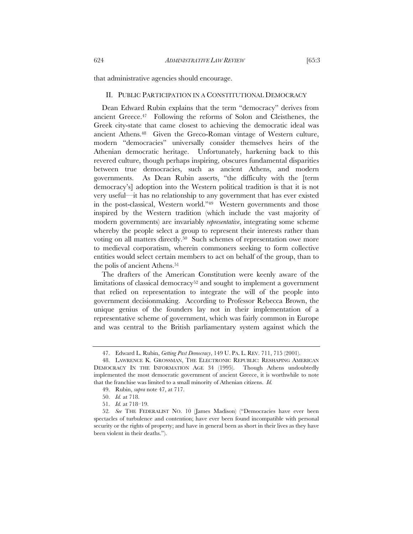that administrative agencies should encourage.

## II. PUBLIC PARTICIPATION IN A CONSTITUTIONAL DEMOCRACY

Dean Edward Rubin explains that the term "democracy" derives from ancient Greece.47 Following the reforms of Solon and Cleisthenes, the Greek city-state that came closest to achieving the democratic ideal was ancient Athens.48 Given the Greco-Roman vintage of Western culture, modern "democracies" universally consider themselves heirs of the Athenian democratic heritage. Unfortunately, harkening back to this revered culture, though perhaps inspiring, obscures fundamental disparities between true democracies, such as ancient Athens, and modern governments. As Dean Rubin asserts, "the difficulty with the [term democracy's] adoption into the Western political tradition is that it is not very useful—it has no relationship to any government that has ever existed in the post-classical, Western world."49 Western governments and those inspired by the Western tradition (which include the vast majority of modern governments) are invariably *representative*, integrating some scheme whereby the people select a group to represent their interests rather than voting on all matters directly.50 Such schemes of representation owe more to medieval corporatism, wherein commoners seeking to form collective entities would select certain members to act on behalf of the group, than to the polis of ancient Athens.<sup>51</sup>

The drafters of the American Constitution were keenly aware of the limitations of classical democracy<sup>52</sup> and sought to implement a government that relied on representation to integrate the will of the people into government decisionmaking. According to Professor Rebecca Brown, the unique genius of the founders lay not in their implementation of a representative scheme of government, which was fairly common in Europe and was central to the British parliamentary system against which the

 <sup>47.</sup> Edward L. Rubin, *Getting Past Democracy*, 149 U. PA. L. REV. 711, 715 (2001).

 <sup>48.</sup> LAWRENCE K. GROSSMAN, THE ELECTRONIC REPUBLIC: RESHAPING AMERICAN DEMOCRACY IN THE INFORMATION AGE 34 (1995). Though Athens undoubtedly implemented the most democratic government of ancient Greece, it is worthwhile to note that the franchise was limited to a small minority of Athenian citizens. *Id.*

 <sup>49.</sup> Rubin, *supra* note 47, at 717.

 <sup>50.</sup> *Id.* at 718.

 <sup>51.</sup> *Id.* at 718–19.

<sup>52</sup>*. See* THE FEDERALIST NO. 10 (James Madison) ("Democracies have ever been spectacles of turbulence and contention; have ever been found incompatible with personal security or the rights of property; and have in general been as short in their lives as they have been violent in their deaths.").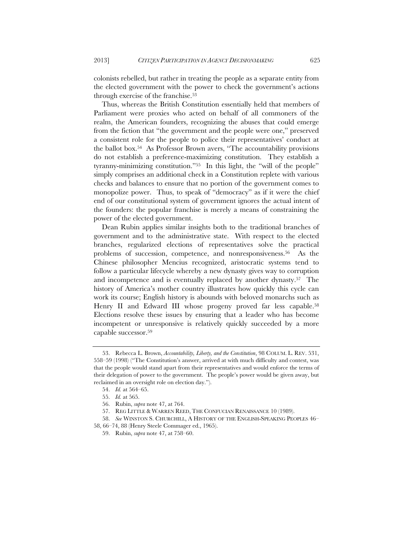colonists rebelled, but rather in treating the people as a separate entity from the elected government with the power to check the government's actions through exercise of the franchise.53

Thus, whereas the British Constitution essentially held that members of Parliament were proxies who acted on behalf of all commoners of the realm, the American founders, recognizing the abuses that could emerge from the fiction that "the government and the people were one," preserved a consistent role for the people to police their representatives' conduct at the ballot box.54 As Professor Brown avers, "The accountability provisions do not establish a preference-maximizing constitution. They establish a tyranny-minimizing constitution."55 In this light, the "will of the people" simply comprises an additional check in a Constitution replete with various checks and balances to ensure that no portion of the government comes to monopolize power. Thus, to speak of "democracy" as if it were the chief end of our constitutional system of government ignores the actual intent of the founders: the popular franchise is merely a means of constraining the power of the elected government.

Dean Rubin applies similar insights both to the traditional branches of government and to the administrative state. With respect to the elected branches, regularized elections of representatives solve the practical problems of succession, competence, and nonresponsiveness.56 As the Chinese philosopher Mencius recognized, aristocratic systems tend to follow a particular lifecycle whereby a new dynasty gives way to corruption and incompetence and is eventually replaced by another dynasty.57 The history of America's mother country illustrates how quickly this cycle can work its course; English history is abounds with beloved monarchs such as Henry II and Edward III whose progeny proved far less capable.58 Elections resolve these issues by ensuring that a leader who has become incompetent or unresponsive is relatively quickly succeeded by a more capable successor.59

 <sup>53.</sup> Rebecca L. Brown, *Accountability, Liberty, and the Constitution*, 98 COLUM. L. REV. 531, 558–59 (1998) ("The Constitution's answer, arrived at with much difficulty and contest, was that the people would stand apart from their representatives and would enforce the terms of their delegation of power to the government. The people's power would be given away, but reclaimed in an oversight role on election day.").

 <sup>54.</sup> *Id.* at 564–65.

 <sup>55.</sup> *Id.* at 565.

 <sup>56.</sup> Rubin, *supra* note 47, at 764.

 <sup>57.</sup> REG LITTLE & WARREN REED, THE CONFUCIAN RENAISSANCE 10 (1989).

 <sup>58.</sup> *See* WINSTON S. CHURCHILL, A HISTORY OF THE ENGLISH-SPEAKING PEOPLES 46–

<sup>58, 66–74, 88 (</sup>Henry Steele Commager ed., 1965).

 <sup>59.</sup> Rubin, *supra* note 47, at 758–60.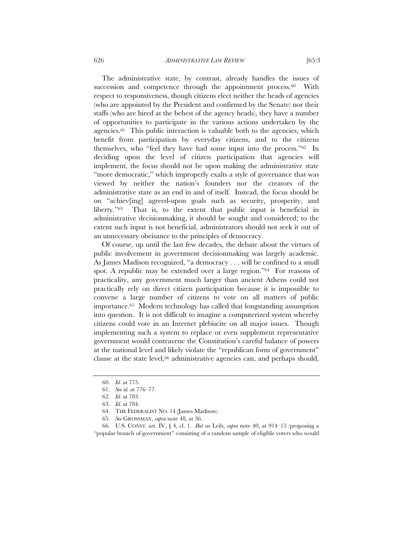The administrative state, by contrast, already handles the issues of succession and competence through the appointment process.<sup>60</sup> With respect to responsiveness, though citizens elect neither the heads of agencies (who are appointed by the President and confirmed by the Senate) nor their staffs (who are hired at the behest of the agency heads), they have a number of opportunities to participate in the various actions undertaken by the agencies.61 This public interaction is valuable both to the agencies, which benefit from participation by everyday citizens, and to the citizens themselves, who "feel they have had some input into the process."62 In deciding upon the level of citizen participation that agencies will implement, the focus should not be upon making the administrative state "more democratic," which improperly exalts a style of governance that was viewed by neither the nation's founders nor the creators of the administrative state as an end in and of itself. Instead, the focus should be on "achiev[ing] agreed-upon goals such as security, prosperity, and liberty."63 That is, to the extent that public input is beneficial in administrative decisionmaking, it should be sought and considered; to the extent such input is not beneficial, administrators should not seek it out of an unnecessary obeisance to the principles of democracy.

Of course, up until the last few decades, the debate about the virtues of public involvement in government decisionmaking was largely academic. As James Madison recognized, "a democracy . . . will be confined to a small spot. A republic may be extended over a large region."64 For reasons of practicality, any government much larger than ancient Athens could not practically rely on direct citizen participation because it is impossible to convene a large number of citizens to vote on all matters of public importance.65 Modern technology has called that longstanding assumption into question. It is not difficult to imagine a computerized system whereby citizens could vote in an Internet plebiscite on all major issues. Though implementing such a system to replace or even supplement representative government would contravene the Constitution's careful balance of powers at the national level and likely violate the "republican form of government" clause at the state level,<sup>66</sup> administrative agencies can, and perhaps should,

 <sup>60.</sup> *Id.* at 775.

 <sup>61.</sup> *See id.* at 776–77.

 <sup>62.</sup> *Id.* at 783.

 <sup>63.</sup> *Id.* at 784.

 <sup>64.</sup> THE FEDERALIST NO. 14 (James Madison).

 <sup>65.</sup> *See* GROSSMAN, *supra* note 48, at 36.

 <sup>66.</sup> U.S. CONST. art. IV, § 4, cl. 1. *But see* Leib, *supra* note 40, at 914–15 (proposing a "popular branch of government" consisting of a random sample of eligible voters who would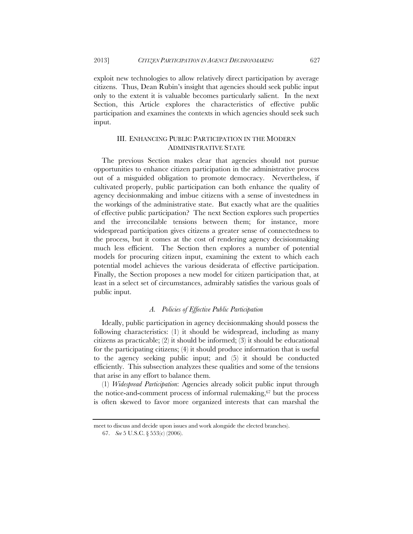exploit new technologies to allow relatively direct participation by average citizens. Thus, Dean Rubin's insight that agencies should seek public input only to the extent it is valuable becomes particularly salient. In the next Section, this Article explores the characteristics of effective public participation and examines the contexts in which agencies should seek such input.

## III. ENHANCING PUBLIC PARTICIPATION IN THE MODERN ADMINISTRATIVE STATE

The previous Section makes clear that agencies should not pursue opportunities to enhance citizen participation in the administrative process out of a misguided obligation to promote democracy. Nevertheless, if cultivated properly, public participation can both enhance the quality of agency decisionmaking and imbue citizens with a sense of investedness in the workings of the administrative state. But exactly what are the qualities of effective public participation? The next Section explores such properties and the irreconcilable tensions between them; for instance, more widespread participation gives citizens a greater sense of connectedness to the process, but it comes at the cost of rendering agency decisionmaking much less efficient. The Section then explores a number of potential models for procuring citizen input, examining the extent to which each potential model achieves the various desiderata of effective participation. Finally, the Section proposes a new model for citizen participation that, at least in a select set of circumstances, admirably satisfies the various goals of public input.

#### *A. Policies of Effective Public Participation*

Ideally, public participation in agency decisionmaking should possess the following characteristics: (1) it should be widespread, including as many citizens as practicable; (2) it should be informed; (3) it should be educational for the participating citizens; (4) it should produce information that is useful to the agency seeking public input; and (5) it should be conducted efficiently. This subsection analyzes these qualities and some of the tensions that arise in any effort to balance them.

(1) *Widespread Participation*: Agencies already solicit public input through the notice-and-comment process of informal rulemaking, $67$  but the process is often skewed to favor more organized interests that can marshal the

meet to discuss and decide upon issues and work alongside the elected branches).

 <sup>67.</sup> *See* 5 U.S.C. § 553(c) (2006).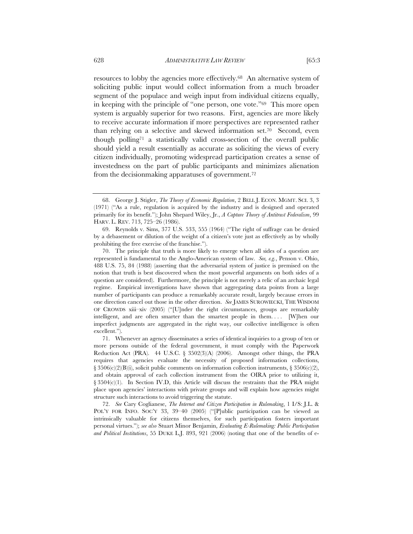resources to lobby the agencies more effectively.68 An alternative system of soliciting public input would collect information from a much broader segment of the populace and weigh input from individual citizens equally, in keeping with the principle of "one person, one vote."69 This more open system is arguably superior for two reasons. First, agencies are more likely to receive accurate information if more perspectives are represented rather than relying on a selective and skewed information set.70 Second, even though polling71 a statistically valid cross-section of the overall public should yield a result essentially as accurate as soliciting the views of every citizen individually, promoting widespread participation creates a sense of investedness on the part of public participants and minimizes alienation from the decisionmaking apparatuses of government.72

 <sup>68.</sup> George J. Stigler, *The Theory of Economic Regulation*, 2 BELL J. ECON. MGMT. SCI. 3, 3 (1971) ("As a rule, regulation is acquired by the industry and is designed and operated primarily for its benefit."); John Shepard Wiley, Jr., *A Capture Theory of Antitrust Federalism*, 99 HARV. L. REV. 713, 725–26 (1986).

 <sup>69.</sup> Reynolds v. Sims, 377 U.S. 533, 555 (1964) ("The right of suffrage can be denied by a debasement or dilution of the weight of a citizen's vote just as effectively as by wholly prohibiting the free exercise of the franchise.").

 <sup>70.</sup> The principle that truth is more likely to emerge when all sides of a question are represented is fundamental to the Anglo-American system of law. *See, e.g.*, Penson v. Ohio, 488 U.S. 75, 84 (1988) (asserting that the adversarial system of justice is premised on the notion that truth is best discovered when the most powerful arguments on both sides of a question are considered). Furthermore, the principle is not merely a relic of an archaic legal regime. Empirical investigations have shown that aggregating data points from a large number of participants can produce a remarkably accurate result, largely because errors in one direction cancel out those in the other direction. *See* JAMES SUROWIECKI, THE WISDOM OF CROWDS xiii–xiv  $(2005)$  ("[U]nder the right circumstances, groups are remarkably intelligent, and are often smarter than the smartest people in them. . . . [W]hen our imperfect judgments are aggregated in the right way, our collective intelligence is often excellent.").

 <sup>71.</sup> Whenever an agency disseminates a series of identical inquiries to a group of ten or more persons outside of the federal government, it must comply with the Paperwork Reduction Act (PRA). 44 U.S.C.  $\S$  3502(3)(A) (2006). Amongst other things, the PRA requires that agencies evaluate the necessity of proposed information collections,  $\S 3506(c)(2)(B)(i)$ , solicit public comments on information collection instruments,  $\S 3506(c)(2)$ , and obtain approval of each collection instrument from the OIRA prior to utilizing it,  $\S 3504(c)(1)$ . In Section IV.D, this Article will discuss the restraints that the PRA might place upon agencies' interactions with private groups and will explain how agencies might structure such interactions to avoid triggering the statute.

 <sup>72.</sup> *See* Cary Coglianese, *The Internet and Citizen Participation in Rulemaking*, 1 I/S: J.L. & POL'Y FOR INFO. SOC'Y 33, 39-40 (2005) ("Public participation can be viewed as intrinsically valuable for citizens themselves, for such participation fosters important personal virtues."); *see also* Stuart Minor Benjamin, *Evaluating E-Rulemaking: Public Participation and Political Institutions*, 55 DUKE L.J. 893, 921 (2006) (noting that one of the benefits of e-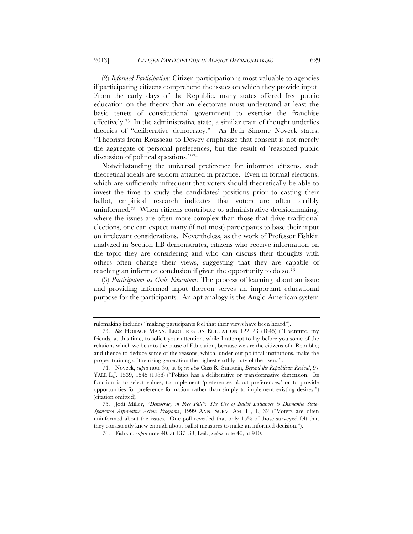(2) *Informed Participation*: Citizen participation is most valuable to agencies if participating citizens comprehend the issues on which they provide input. From the early days of the Republic, many states offered free public education on the theory that an electorate must understand at least the basic tenets of constitutional government to exercise the franchise effectively.73 In the administrative state, a similar train of thought underlies theories of "deliberative democracy." As Beth Simone Noveck states, "Theorists from Rousseau to Dewey emphasize that consent is not merely the aggregate of personal preferences, but the result of 'reasoned public discussion of political questions.'"74

Notwithstanding the universal preference for informed citizens, such theoretical ideals are seldom attained in practice. Even in formal elections, which are sufficiently infrequent that voters should theoretically be able to invest the time to study the candidates' positions prior to casting their ballot, empirical research indicates that voters are often terribly uninformed.75 When citizens contribute to administrative decisionmaking, where the issues are often more complex than those that drive traditional elections, one can expect many (if not most) participants to base their input on irrelevant considerations. Nevertheless, as the work of Professor Fishkin analyzed in Section I.B demonstrates, citizens who receive information on the topic they are considering and who can discuss their thoughts with others often change their views, suggesting that they are capable of reaching an informed conclusion if given the opportunity to do so.76

(3) *Participation as Civic Education*: The process of learning about an issue and providing informed input thereon serves an important educational purpose for the participants. An apt analogy is the Anglo-American system

rulemaking includes "making participants feel that their views have been heard").

 <sup>73.</sup> *See* HORACE MANN, LECTURES ON EDUCATION 122–23 (1845) ("I venture, my friends, at this time, to solicit your attention, while I attempt to lay before you some of the relations which we bear to the cause of Education, because we are the citizens of a Republic; and thence to deduce some of the reasons, which, under our political institutions, make the proper training of the rising generation the highest earthly duty of the risen.").

 <sup>74.</sup> Noveck, *supra* note 36, at 6; *see also* Cass R. Sunstein, *Beyond the Republican Revival*, 97 YALE L.J. 1539, 1545 (1988) ("Politics has a deliberative or transformative dimension. Its function is to select values, to implement 'preferences about preferences,' or to provide opportunities for preference formation rather than simply to implement existing desires.") (citation omitted).

 <sup>75.</sup> Jodi Miller, *"Democracy in Free Fall": The Use of Ballot Initiatives to Dismantle State-Sponsored Affirmative Action Programs*, 1999 ANN. SURV. AM. L., 1, 32 ("Voters are often uninformed about the issues. One poll revealed that only 15% of those surveyed felt that they consistently knew enough about ballot measures to make an informed decision.").

 <sup>76.</sup> Fishkin, *supra* note 40, at 137–38; Leib, *supra* note 40, at 910.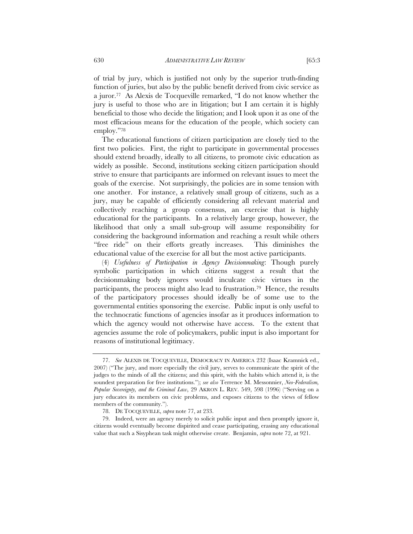of trial by jury, which is justified not only by the superior truth-finding function of juries, but also by the public benefit derived from civic service as a juror.77 As Alexis de Tocqueville remarked, "I do not know whether the jury is useful to those who are in litigation; but I am certain it is highly beneficial to those who decide the litigation; and I look upon it as one of the most efficacious means for the education of the people, which society can employ."78

The educational functions of citizen participation are closely tied to the first two policies. First, the right to participate in governmental processes should extend broadly, ideally to all citizens, to promote civic education as widely as possible. Second, institutions seeking citizen participation should strive to ensure that participants are informed on relevant issues to meet the goals of the exercise. Not surprisingly, the policies are in some tension with one another. For instance, a relatively small group of citizens, such as a jury, may be capable of efficiently considering all relevant material and collectively reaching a group consensus, an exercise that is highly educational for the participants. In a relatively large group, however, the likelihood that only a small sub-group will assume responsibility for considering the background information and reaching a result while others "free ride" on their efforts greatly increases. This diminishes the educational value of the exercise for all but the most active participants.

(4) *Usefulness of Participation in Agency Decisionmaking*: Though purely symbolic participation in which citizens suggest a result that the decisionmaking body ignores would inculcate civic virtues in the participants, the process might also lead to frustration.79 Hence, the results of the participatory processes should ideally be of some use to the governmental entities sponsoring the exercise. Public input is only useful to the technocratic functions of agencies insofar as it produces information to which the agency would not otherwise have access. To the extent that agencies assume the role of policymakers, public input is also important for reasons of institutional legitimacy.

 <sup>77.</sup> *See* ALEXIS DE TOCQUEVILLE, DEMOCRACY IN AMERICA 232 (Isaac Kramnick ed., 2007) ("The jury, and more especially the civil jury, serves to communicate the spirit of the judges to the minds of all the citizens; and this spirit, with the habits which attend it, is the soundest preparation for free institutions."); *see also* Terrence M. Messonnier, *Neo-Federalism, Popular Sovereignty, and the Criminal Law*, 29 AKRON L. REV. 549, 598 (1996) ("Serving on a jury educates its members on civic problems, and exposes citizens to the views of fellow members of the community.").

 <sup>78.</sup> DE TOCQUEVILLE, *supra* note 77, at 233.

 <sup>79.</sup> Indeed, were an agency merely to solicit public input and then promptly ignore it, citizens would eventually become dispirited and cease participating, erasing any educational value that such a Sisyphean task might otherwise create. Benjamin, *supra* note 72, at 921.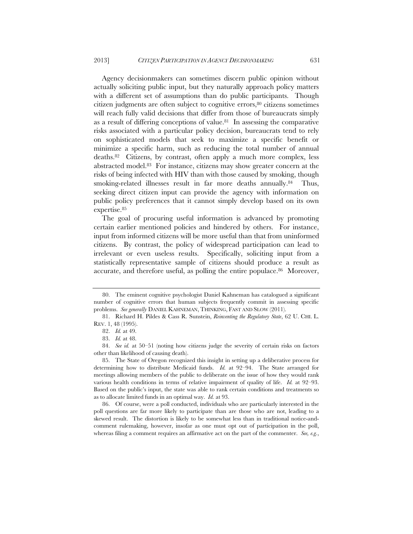Agency decisionmakers can sometimes discern public opinion without actually soliciting public input, but they naturally approach policy matters with a different set of assumptions than do public participants. Though citizen judgments are often subject to cognitive errors,80 citizens sometimes will reach fully valid decisions that differ from those of bureaucrats simply as a result of differing conceptions of value. $81$  In assessing the comparative risks associated with a particular policy decision, bureaucrats tend to rely on sophisticated models that seek to maximize a specific benefit or minimize a specific harm, such as reducing the total number of annual deaths.82 Citizens, by contrast, often apply a much more complex, less abstracted model.83 For instance, citizens may show greater concern at the risks of being infected with HIV than with those caused by smoking, though smoking-related illnesses result in far more deaths annually.<sup>84</sup> Thus, seeking direct citizen input can provide the agency with information on public policy preferences that it cannot simply develop based on its own expertise.85

The goal of procuring useful information is advanced by promoting certain earlier mentioned policies and hindered by others. For instance, input from informed citizens will be more useful than that from uninformed citizens. By contrast, the policy of widespread participation can lead to irrelevant or even useless results. Specifically, soliciting input from a statistically representative sample of citizens should produce a result as accurate, and therefore useful, as polling the entire populace.<sup>86</sup> Moreover,

 <sup>80.</sup> The eminent cognitive psychologist Daniel Kahneman has catalogued a significant number of cognitive errors that human subjects frequently commit in assessing specific problems. *See generally* DANIEL KAHNEMAN, THINKING, FAST AND SLOW (2011).

 <sup>81.</sup> Richard H. Pildes & Cass R. Sunstein, *Reinventing the Regulatory State*, 62 U. CHI. L. REV. 1, 48 (1995).

 <sup>82.</sup> *Id.* at 49.

 <sup>83.</sup> *Id.* at 48.

 <sup>84.</sup> *See id.* at 50–51 (noting how citizens judge the severity of certain risks on factors other than likelihood of causing death).

 <sup>85.</sup> The State of Oregon recognized this insight in setting up a deliberative process for determining how to distribute Medicaid funds. *Id.* at 92–94. The State arranged for meetings allowing members of the public to deliberate on the issue of how they would rank various health conditions in terms of relative impairment of quality of life. *Id.* at 92–93. Based on the public's input, the state was able to rank certain conditions and treatments so as to allocate limited funds in an optimal way. *Id.* at 93.

 <sup>86.</sup> Of course, were a poll conducted, individuals who are particularly interested in the poll questions are far more likely to participate than are those who are not, leading to a skewed result. The distortion is likely to be somewhat less than in traditional notice-andcomment rulemaking, however, insofar as one must opt out of participation in the poll, whereas filing a comment requires an affirmative act on the part of the commenter. *See, e.g.*,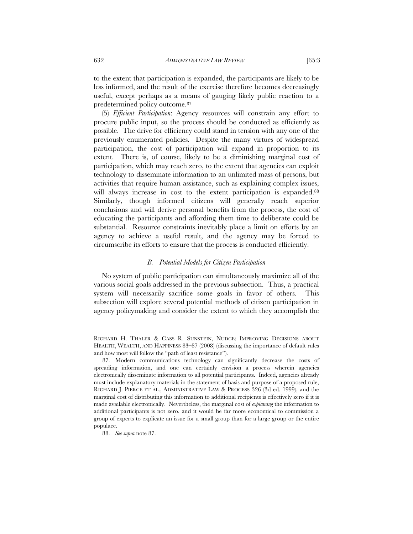to the extent that participation is expanded, the participants are likely to be less informed, and the result of the exercise therefore becomes decreasingly useful, except perhaps as a means of gauging likely public reaction to a predetermined policy outcome.87

(5) *Efficient Participation*: Agency resources will constrain any effort to procure public input, so the process should be conducted as efficiently as possible. The drive for efficiency could stand in tension with any one of the previously enumerated policies. Despite the many virtues of widespread participation, the cost of participation will expand in proportion to its extent. There is, of course, likely to be a diminishing marginal cost of participation, which may reach zero, to the extent that agencies can exploit technology to disseminate information to an unlimited mass of persons, but activities that require human assistance, such as explaining complex issues, will always increase in cost to the extent participation is expanded.<sup>88</sup> Similarly, though informed citizens will generally reach superior conclusions and will derive personal benefits from the process, the cost of educating the participants and affording them time to deliberate could be substantial. Resource constraints inevitably place a limit on efforts by an agency to achieve a useful result, and the agency may be forced to circumscribe its efforts to ensure that the process is conducted efficiently.

## *B. Potential Models for Citizen Participation*

No system of public participation can simultaneously maximize all of the various social goals addressed in the previous subsection. Thus, a practical system will necessarily sacrifice some goals in favor of others. This subsection will explore several potential methods of citizen participation in agency policymaking and consider the extent to which they accomplish the

RICHARD H. THALER & CASS R. SUNSTEIN, NUDGE: IMPROVING DECISIONS ABOUT HEALTH, WEALTH, AND HAPPINESS 83–87 (2008) (discussing the importance of default rules and how most will follow the "path of least resistance").

 <sup>87.</sup> Modern communications technology can significantly decrease the costs of spreading information, and one can certainly envision a process wherein agencies electronically disseminate information to all potential participants. Indeed, agencies already must include explanatory materials in the statement of basis and purpose of a proposed rule, RICHARD J. PIERCE ET AL., ADMINISTRATIVE LAW & PROCESS 326 (3d ed. 1999), and the marginal cost of distributing this information to additional recipients is effectively zero if it is made available electronically. Nevertheless, the marginal cost of *explaining* the information to additional participants is not zero, and it would be far more economical to commission a group of experts to explicate an issue for a small group than for a large group or the entire populace.

 <sup>88.</sup> *See supra* note 87.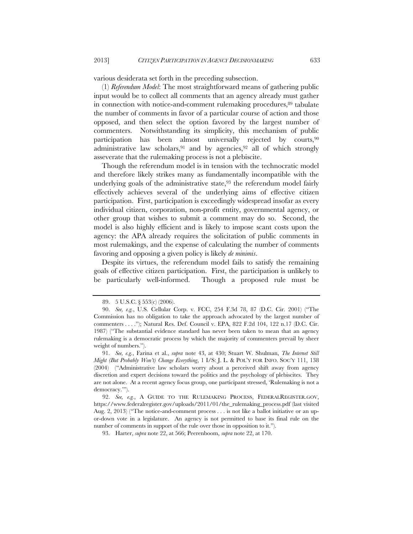various desiderata set forth in the preceding subsection.

(1) *Referendum Model*: The most straightforward means of gathering public input would be to collect all comments that an agency already must gather in connection with notice-and-comment rulemaking procedures,<sup>89</sup> tabulate the number of comments in favor of a particular course of action and those opposed, and then select the option favored by the largest number of commenters. Notwithstanding its simplicity, this mechanism of public participation has been almost universally rejected by courts,90 administrative law scholars, <sup>91</sup> and by agencies, <sup>92</sup> all of which strongly asseverate that the rulemaking process is not a plebiscite.

Though the referendum model is in tension with the technocratic model and therefore likely strikes many as fundamentally incompatible with the underlying goals of the administrative state,  $93$  the referendum model fairly effectively achieves several of the underlying aims of effective citizen participation. First, participation is exceedingly widespread insofar as every individual citizen, corporation, non-profit entity, governmental agency, or other group that wishes to submit a comment may do so. Second, the model is also highly efficient and is likely to impose scant costs upon the agency: the APA already requires the solicitation of public comments in most rulemakings, and the expense of calculating the number of comments favoring and opposing a given policy is likely *de minimis*.

Despite its virtues, the referendum model fails to satisfy the remaining goals of effective citizen participation. First, the participation is unlikely to be particularly well-informed. Though a proposed rule must be

 <sup>89. 5</sup> U.S.C. § 553(c) (2006).

 <sup>90.</sup> *See, e.g.*, U.S. Cellular Corp. v. FCC, 254 F.3d 78, 87 (D.C. Cir. 2001) ("The Commission has no obligation to take the approach advocated by the largest number of commenters . . . ."); Natural Res. Def. Council v. EPA, 822 F.2d 104, 122 n.17 (D.C. Cir. 1987) ("The substantial evidence standard has never been taken to mean that an agency rulemaking is a democratic process by which the majority of commenters prevail by sheer weight of numbers.").

 <sup>91.</sup> *See, e.g.*, Farina et al., *supra* note 43, at 430; Stuart W. Shulman, *The Internet Still Might (But Probably Won't) Change Everything*, 1 I/S: J. L. & POL'Y FOR INFO. SOC'Y 111, 138 (2004) ("Administrative law scholars worry about a perceived shift away from agency discretion and expert decisions toward the politics and the psychology of plebiscites. They are not alone. At a recent agency focus group, one participant stressed, 'Rulemaking is not a democracy.'").

 <sup>92.</sup> *See, e.g.*, A GUIDE TO THE RULEMAKING PROCESS, FEDERALREGISTER.GOV, https://www.federalregister.gov/uploads/2011/01/the\_rulemaking\_process.pdf (last visited Aug. 2, 2013) ("The notice-and-comment process . . . is not like a ballot initiative or an upor-down vote in a legislature. An agency is not permitted to base its final rule on the number of comments in support of the rule over those in opposition to it.").

 <sup>93.</sup> Harter, *supra* note 22, at 566; Peerenboom, *supra* note 22, at 170.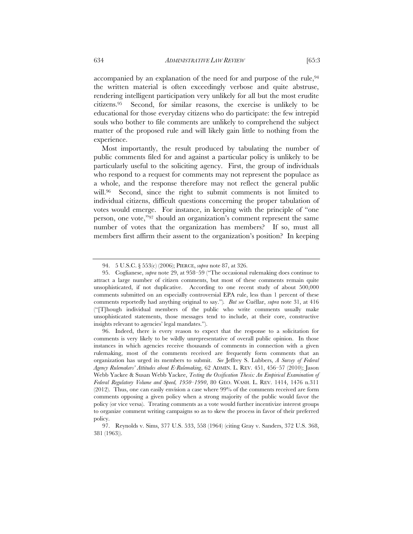accompanied by an explanation of the need for and purpose of the rule, 94 the written material is often exceedingly verbose and quite abstruse, rendering intelligent participation very unlikely for all but the most erudite citizens.95 Second, for similar reasons, the exercise is unlikely to be educational for those everyday citizens who do participate: the few intrepid souls who bother to file comments are unlikely to comprehend the subject matter of the proposed rule and will likely gain little to nothing from the experience.

Most importantly, the result produced by tabulating the number of public comments filed for and against a particular policy is unlikely to be particularly useful to the soliciting agency. First, the group of individuals who respond to a request for comments may not represent the populace as a whole, and the response therefore may not reflect the general public will.<sup>96</sup> Second, since the right to submit comments is not limited to individual citizens, difficult questions concerning the proper tabulation of votes would emerge. For instance, in keeping with the principle of "one person, one vote,"97 should an organization's comment represent the same number of votes that the organization has members? If so, must all members first affirm their assent to the organization's position? In keeping

 <sup>94. 5</sup> U.S.C. § 553(c) (2006); PIERCE, *supra* note 87, at 326.

 <sup>95.</sup> Coglianese, *supra* note 29, at 958–59 ("The occasional rulemaking does continue to attract a large number of citizen comments, but most of these comments remain quite unsophisticated, if not duplicative. According to one recent study of about 500,000 comments submitted on an especially controversial EPA rule, less than 1 percent of these comments reportedly had anything original to say.")*. But see* Cuéllar, *supra* note 31, at 416 ("[T]hough individual members of the public who write comments usually make unsophisticated statements, those messages tend to include, at their core, constructive insights relevant to agencies' legal mandates.").

 <sup>96.</sup> Indeed, there is every reason to expect that the response to a solicitation for comments is very likely to be wildly unrepresentative of overall public opinion. In those instances in which agencies receive thousands of comments in connection with a given rulemaking, most of the comments received are frequently form comments that an organization has urged its members to submit. *See* Jeffrey S. Lubbers, *A Survey of Federal Agency Rulemakers' Attitudes about E-Rulemaking*, 62 ADMIN. L. REV. 451, 456–57 (2010); Jason Webb Yackee & Susan Webb Yackee, *Testing the Ossification Thesis: An Empirical Examination of Federal Regulatory Volume and Speed, 1950–1990*, 80 GEO. WASH. L. REV. 1414, 1476 n.311 (2012). Thus, one can easily envision a case where 99% of the comments received are form comments opposing a given policy when a strong majority of the public would favor the policy (or vice versa). Treating comments as a vote would further incentivize interest groups to organize comment writing campaigns so as to skew the process in favor of their preferred policy.

 <sup>97.</sup> Reynolds v. Sims, 377 U.S. 533, 558 (1964) (citing Gray v. Sanders, 372 U.S. 368, 381 (1963)).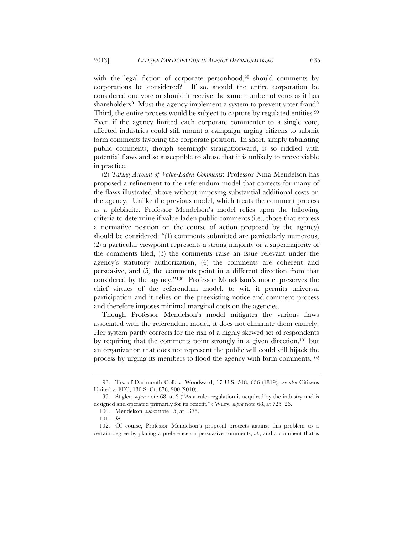with the legal fiction of corporate personhood,<sup>98</sup> should comments by corporations be considered? If so, should the entire corporation be considered one vote or should it receive the same number of votes as it has shareholders? Must the agency implement a system to prevent voter fraud? Third, the entire process would be subject to capture by regulated entities.<sup>99</sup> Even if the agency limited each corporate commenter to a single vote, affected industries could still mount a campaign urging citizens to submit form comments favoring the corporate position. In short, simply tabulating public comments, though seemingly straightforward, is so riddled with potential flaws and so susceptible to abuse that it is unlikely to prove viable in practice.

(2) *Taking Account of Value-Laden Comments*: Professor Nina Mendelson has proposed a refinement to the referendum model that corrects for many of the flaws illustrated above without imposing substantial additional costs on the agency. Unlike the previous model, which treats the comment process as a plebiscite, Professor Mendelson's model relies upon the following criteria to determine if value-laden public comments (i.e., those that express a normative position on the course of action proposed by the agency) should be considered: "(1) comments submitted are particularly numerous, (2) a particular viewpoint represents a strong majority or a supermajority of the comments filed, (3) the comments raise an issue relevant under the agency's statutory authorization, (4) the comments are coherent and persuasive, and (5) the comments point in a different direction from that considered by the agency."100 Professor Mendelson's model preserves the chief virtues of the referendum model, to wit, it permits universal participation and it relies on the preexisting notice-and-comment process and therefore imposes minimal marginal costs on the agencies.

Though Professor Mendelson's model mitigates the various flaws associated with the referendum model, it does not eliminate them entirely. Her system partly corrects for the risk of a highly skewed set of respondents by requiring that the comments point strongly in a given direction,101 but an organization that does not represent the public will could still hijack the process by urging its members to flood the agency with form comments.102

 <sup>98.</sup> Trs. of Dartmouth Coll. v. Woodward, 17 U.S. 518, 636 (1819); *see also* Citizens United v. FEC, 130 S. Ct. 876, 900 (2010).

 <sup>99.</sup> Stigler, *supra* note 68, at 3 ("As a rule, regulation is acquired by the industry and is designed and operated primarily for its benefit."); Wiley, *supra* note 68, at 725–26.

 <sup>100.</sup> Mendelson, *supra* note 15, at 1375.

 <sup>101.</sup> *Id.*

 <sup>102.</sup> Of course, Professor Mendelson's proposal protects against this problem to a certain degree by placing a preference on persuasive comments, *id.*, and a comment that is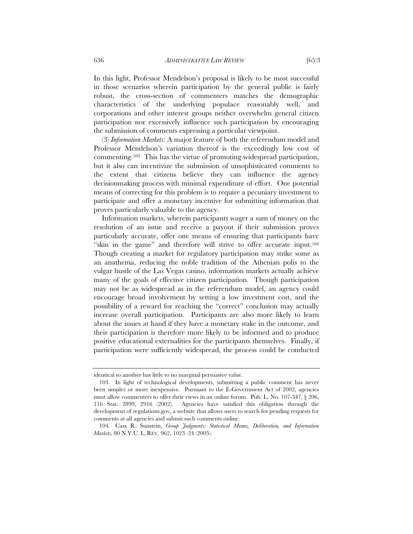In this light, Professor Mendelson's proposal is likely to be most successful in those scenarios wherein participation by the general public is fairly robust, the cross-section of commenters matches the demographic characteristics of the underlying populace reasonably well, and corporations and other interest groups neither overwhelm general citizen participation nor excessively influence such participation by encouraging the submission of comments expressing a particular viewpoint.

(3) *Information Markets*: A major feature of both the referendum model and Professor Mendelson's variation thereof is the exceedingly low cost of commenting.103 This has the virtue of promoting widespread participation, but it also can incentivize the submission of unsophisticated comments to the extent that citizens believe they can influence the agency decisionmaking process with minimal expenditure of effort. One potential means of correcting for this problem is to require a pecuniary investment to participate and offer a monetary incentive for submitting information that proves particularly valuable to the agency.

Information markets, wherein participants wager a sum of money on the resolution of an issue and receive a payout if their submission proves particularly accurate, offer one means of ensuring that participants have "skin in the game" and therefore will strive to offer accurate input.104 Though creating a market for regulatory participation may strike some as an anathema, reducing the noble tradition of the Athenian polis to the vulgar hustle of the Las Vegas casino, information markets actually achieve many of the goals of effective citizen participation. Though participation may not be as widespread as in the referendum model, an agency could encourage broad involvement by setting a low investment cost, and the possibility of a reward for reaching the "correct" conclusion may actually increase overall participation. Participants are also more likely to learn about the issues at hand if they have a monetary stake in the outcome, and their participation is therefore more likely to be informed and to produce positive educational externalities for the participants themselves. Finally, if participation were sufficiently widespread, the process could be conducted

identical to another has little to no marginal persuasive value.

 <sup>103.</sup> In light of technological developments, submitting a public comment has never been simpler or more inexpensive. Pursuant to the E-Government Act of 2002, agencies must allow commenters to offer their views in an online forum. Pub. L. No. 107-347, § 206, 116 Stat. 2899, 2916 (2002). Agencies have satisfied this obligation through the development of regulations.gov, a website that allows users to search for pending requests for comments at all agencies and submit such comments online.

 <sup>104.</sup> Cass R. Sunstein, *Group Judgments: Statistical Means, Deliberation, and Information Markets*, 80 N.Y.U. L. REV. 962, 1023–24 (2005).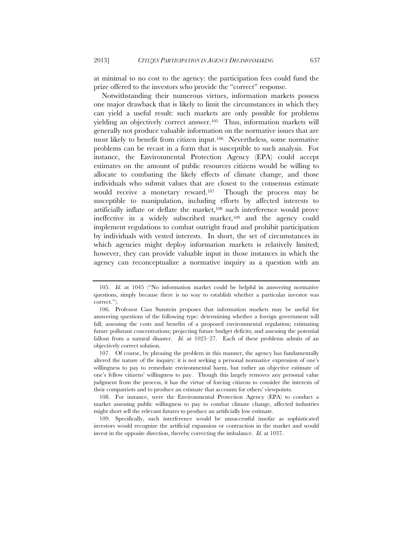at minimal to no cost to the agency: the participation fees could fund the prize offered to the investors who provide the "correct" response.

Notwithstanding their numerous virtues, information markets possess one major drawback that is likely to limit the circumstances in which they can yield a useful result: such markets are only possible for problems yielding an objectively correct answer.<sup>105</sup> Thus, information markets will generally not produce valuable information on the normative issues that are most likely to benefit from citizen input.106 Nevertheless, some normative problems can be recast in a form that is susceptible to such analysis. For instance, the Environmental Protection Agency (EPA) could accept estimates on the amount of public resources citizens would be willing to allocate to combating the likely effects of climate change, and those individuals who submit values that are closest to the consensus estimate would receive a monetary reward.<sup>107</sup> Though the process may be susceptible to manipulation, including efforts by affected interests to artificially inflate or deflate the market,<sup>108</sup> such interference would prove ineffective in a widely subscribed market,<sup>109</sup> and the agency could implement regulations to combat outright fraud and prohibit participation by individuals with vested interests. In short, the set of circumstances in which agencies might deploy information markets is relatively limited; however, they can provide valuable input in those instances in which the agency can reconceptualize a normative inquiry as a question with an

 107. Of course, by phrasing the problem in this manner, the agency has fundamentally altered the nature of the inquiry: it is not seeking a personal normative expression of one's willingness to pay to remediate environmental harm, but rather an objective estimate of one's fellow citizens' willingness to pay. Though this largely removes any personal value judgment from the process, it has the virtue of forcing citizens to consider the interests of their compatriots and to produce an estimate that accounts for others' viewpoints.

 108. For instance, were the Environmental Protection Agency (EPA) to conduct a market assessing public willingness to pay to combat climate change, affected industries might short sell the relevant futures to produce an artificially low estimate.

 109. Specifically, such interference would be unsuccessful insofar as sophisticated investors would recognize the artificial expansion or contraction in the market and would invest in the opposite direction, thereby correcting the imbalance. *Id.* at 1037.

 <sup>105.</sup> *Id.* at 1045 ("No information market could be helpful in answering normative questions, simply because there is no way to establish whether a particular investor was correct.").

 <sup>106.</sup> Professor Cass Sunstein proposes that information markets may be useful for answering questions of the following type: determining whether a foreign government will fall; assessing the costs and benefits of a proposed environmental regulation; estimating future pollutant concentrations; projecting future budget deficits; and assessing the potential fallout from a natural disaster. *Id.* at 1025–27. Each of these problems admits of an objectively correct solution.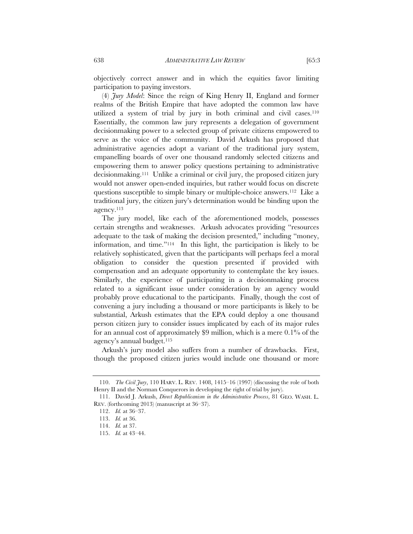objectively correct answer and in which the equities favor limiting

participation to paying investors. (4) *Jury Model*: Since the reign of King Henry II, England and former realms of the British Empire that have adopted the common law have utilized a system of trial by jury in both criminal and civil cases.110 Essentially, the common law jury represents a delegation of government decisionmaking power to a selected group of private citizens empowered to serve as the voice of the community. David Arkush has proposed that administrative agencies adopt a variant of the traditional jury system, empanelling boards of over one thousand randomly selected citizens and empowering them to answer policy questions pertaining to administrative decisionmaking.111 Unlike a criminal or civil jury, the proposed citizen jury would not answer open-ended inquiries, but rather would focus on discrete questions susceptible to simple binary or multiple-choice answers.112 Like a traditional jury, the citizen jury's determination would be binding upon the agency.113

The jury model, like each of the aforementioned models, possesses certain strengths and weaknesses. Arkush advocates providing "resources adequate to the task of making the decision presented," including "money, information, and time."114 In this light, the participation is likely to be relatively sophisticated, given that the participants will perhaps feel a moral obligation to consider the question presented if provided with compensation and an adequate opportunity to contemplate the key issues. Similarly, the experience of participating in a decisionmaking process related to a significant issue under consideration by an agency would probably prove educational to the participants. Finally, though the cost of convening a jury including a thousand or more participants is likely to be substantial, Arkush estimates that the EPA could deploy a one thousand person citizen jury to consider issues implicated by each of its major rules for an annual cost of approximately \$9 million, which is a mere 0.1% of the agency's annual budget.115

Arkush's jury model also suffers from a number of drawbacks. First, though the proposed citizen juries would include one thousand or more

 <sup>110.</sup> *The Civil Jury*, 110 HARV. L. REV. 1408, 1415–16 (1997) (discussing the role of both Henry II and the Norman Conquerors in developing the right of trial by jury).

 <sup>111.</sup> David J. Arkush, *Direct Republicanism in the Administrative Process*, 81 GEO. WASH. L. REV. (forthcoming 2013) (manuscript at 36–37).

 <sup>112.</sup> *Id.* at 36–37.

 <sup>113.</sup> *Id.* at 36.

 <sup>114.</sup> *Id.* at 37.

 <sup>115.</sup> *Id.* at 43–44.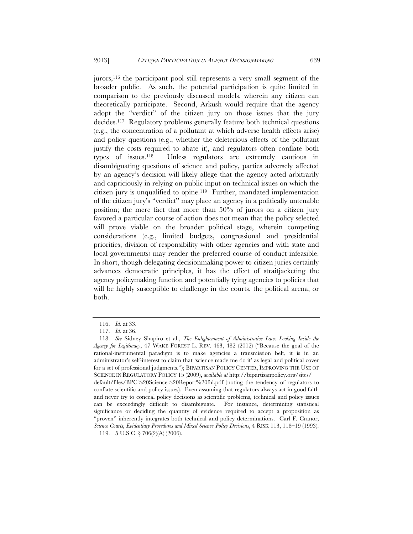jurors,116 the participant pool still represents a very small segment of the broader public. As such, the potential participation is quite limited in comparison to the previously discussed models, wherein any citizen can theoretically participate. Second, Arkush would require that the agency adopt the "verdict" of the citizen jury on those issues that the jury decides.117 Regulatory problems generally feature both technical questions (e.g., the concentration of a pollutant at which adverse health effects arise) and policy questions (e.g., whether the deleterious effects of the pollutant justify the costs required to abate it), and regulators often conflate both types of issues.118 Unless regulators are extremely cautious in disambiguating questions of science and policy, parties adversely affected by an agency's decision will likely allege that the agency acted arbitrarily and capriciously in relying on public input on technical issues on which the citizen jury is unqualified to opine.119 Further, mandated implementation of the citizen jury's "verdict" may place an agency in a politically untenable position; the mere fact that more than 50% of jurors on a citizen jury favored a particular course of action does not mean that the policy selected will prove viable on the broader political stage, wherein competing considerations (e.g., limited budgets, congressional and presidential priorities, division of responsibility with other agencies and with state and local governments) may render the preferred course of conduct infeasible. In short, though delegating decisionmaking power to citizen juries certainly advances democratic principles, it has the effect of straitjacketing the agency policymaking function and potentially tying agencies to policies that will be highly susceptible to challenge in the courts, the political arena, or both.

 <sup>116.</sup> *Id.* at 33.

 <sup>117.</sup> *Id.* at 36.

 <sup>118.</sup> *See* Sidney Shapiro et al., *The Enlightenment of Administrative Law: Looking Inside the Agency for Legitimacy*, 47 WAKE FOREST L. REV. 463, 482 (2012) ("Because the goal of the rational-instrumental paradigm is to make agencies a transmission belt, it is in an administrator's self-interest to claim that 'science made me do it' as legal and political cover for a set of professional judgments."); BIPARTISAN POLICY CENTER, IMPROVING THE USE OF SCIENCE IN REGULATORY POLICY 15 (2009), *available at* http://bipartisanpolicy.org/sites/ default/files/BPC%20Science%20Report%20fnl.pdf (noting the tendency of regulators to conflate scientific and policy issues). Even assuming that regulators always act in good faith and never try to conceal policy decisions as scientific problems, technical and policy issues can be exceedingly difficult to disambiguate. For instance, determining statistical significance or deciding the quantity of evidence required to accept a proposition as "proven" inherently integrates both technical and policy determinations. Carl F. Cranor, *Science Courts, Evidentiary Procedures and Mixed Science-Policy Decisions*, 4 RISK 113, 118–19 (1993).

 <sup>119. 5</sup> U.S.C. § 706(2)(A) (2006).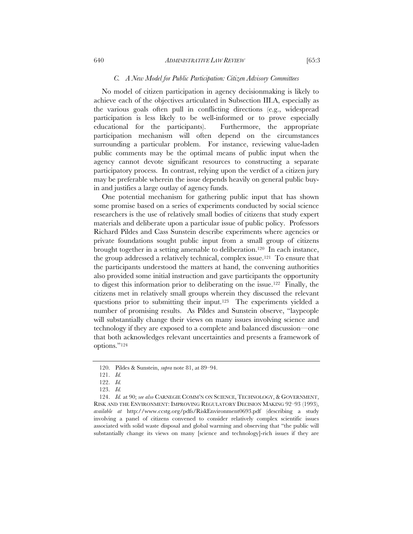#### *C. A New Model for Public Participation: Citizen Advisory Committees*

No model of citizen participation in agency decisionmaking is likely to achieve each of the objectives articulated in Subsection III.A, especially as the various goals often pull in conflicting directions (e.g., widespread participation is less likely to be well-informed or to prove especially educational for the participants). Furthermore, the appropriate participation mechanism will often depend on the circumstances surrounding a particular problem. For instance, reviewing value-laden public comments may be the optimal means of public input when the agency cannot devote significant resources to constructing a separate participatory process. In contrast, relying upon the verdict of a citizen jury may be preferable wherein the issue depends heavily on general public buyin and justifies a large outlay of agency funds.

One potential mechanism for gathering public input that has shown some promise based on a series of experiments conducted by social science researchers is the use of relatively small bodies of citizens that study expert materials and deliberate upon a particular issue of public policy. Professors Richard Pildes and Cass Sunstein describe experiments where agencies or private foundations sought public input from a small group of citizens brought together in a setting amenable to deliberation.120 In each instance, the group addressed a relatively technical, complex issue.121 To ensure that the participants understood the matters at hand, the convening authorities also provided some initial instruction and gave participants the opportunity to digest this information prior to deliberating on the issue.122 Finally, the citizens met in relatively small groups wherein they discussed the relevant questions prior to submitting their input.123 The experiments yielded a number of promising results. As Pildes and Sunstein observe, "laypeople will substantially change their views on many issues involving science and technology if they are exposed to a complete and balanced discussion—one that both acknowledges relevant uncertainties and presents a framework of options."124

 124. *Id.* at 90; *see also* CARNEGIE COMM'N ON SCIENCE, TECHNOLOGY, & GOVERNMENT, RISK AND THE ENVIRONMENT: IMPROVING REGULATORY DECISION MAKING 92–93 (1993), *available at* http://www.ccstg.org/pdfs/RiskEnvironment0693.pdf (describing a study involving a panel of citizens convened to consider relatively complex scientific issues associated with solid waste disposal and global warming and observing that "the public will substantially change its views on many [science and technology]-rich issues if they are

 <sup>120.</sup> Pildes & Sunstein, *supra* note 81, at 89–94.

 <sup>121.</sup> *Id.* 

 <sup>122.</sup> *Id.*

 <sup>123.</sup> *Id.*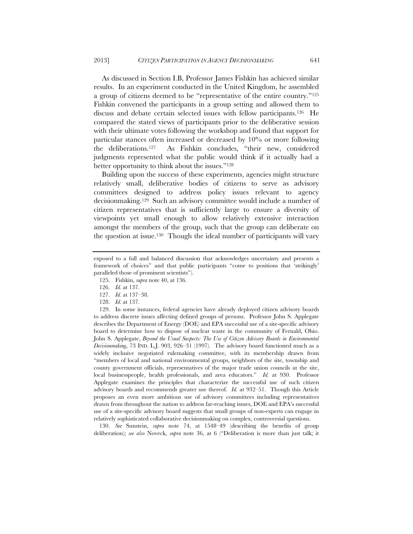As discussed in Section I.B, Professor James Fishkin has achieved similar results. In an experiment conducted in the United Kingdom, he assembled a group of citizens deemed to be "representative of the entire country."125 Fishkin convened the participants in a group setting and allowed them to discuss and debate certain selected issues with fellow participants.126 He compared the stated views of participants prior to the deliberative session with their ultimate votes following the workshop and found that support for particular stances often increased or decreased by 10% or more following the deliberations.127 As Fishkin concludes, "their new, considered judgments represented what the public would think if it actually had a better opportunity to think about the issues."128

Building upon the success of these experiments, agencies might structure relatively small, deliberative bodies of citizens to serve as advisory committees designed to address policy issues relevant to agency decisionmaking.129 Such an advisory committee would include a number of citizen representatives that is sufficiently large to ensure a diversity of viewpoints yet small enough to allow relatively extensive interaction amongst the members of the group, such that the group can deliberate on the question at issue.130 Though the ideal number of participants will vary

 129. In some instances, federal agencies have already deployed citizen advisory boards to address discrete issues affecting defined groups of persons. Professor John S. Applegate describes the Department of Energy (DOE) and EPA successful use of a site-specific advisory board to determine how to dispose of nuclear waste in the community of Fernald, Ohio. John S. Applegate, *Beyond the Usual Suspects: The Use of Citizen Advisory Boards in Environmental Decisionmaking*, 73 IND. L.J. 903, 926–31 (1997). The advisory board functioned much as a widely inclusive negotiated rulemaking committee, with its membership drawn from "members of local and national environmental groups, neighbors of the site, township and county government officials, representatives of the major trade union councils at the site, local businesspeople, health professionals, and area educators." *Id.* at 930. Professor Applegate examines the principles that characterize the successful use of such citizen advisory boards and recommends greater use thereof. *Id.* at 932–51. Though this Article proposes an even more ambitious use of advisory committees including representatives drawn from throughout the nation to address far-reaching issues, DOE and EPA's successful use of a site-specific advisory board suggests that small groups of non-experts can engage in relatively sophisticated collaborative decisionmaking on complex, controversial questions.

 130. *See* Sunstein, *supra* note 74, at 1548–49 (describing the benefits of group deliberation); *see also* Noveck, *supra* note 36, at 6 ("Deliberation is more than just talk; it

exposed to a full and balanced discussion that acknowledges uncertainty and presents a framework of choices" and that public participants "come to positions that 'strikingly' paralleled those of prominent scientists").

 <sup>125.</sup> Fishkin, *supra* note 40, at 136.

 <sup>126.</sup> *Id.* at 137.

 <sup>127.</sup> *Id.* at 137–38.

 <sup>128.</sup> *Id.* at 137.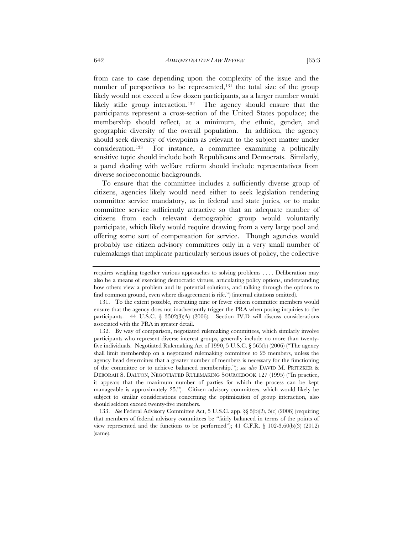from case to case depending upon the complexity of the issue and the number of perspectives to be represented,<sup>131</sup> the total size of the group likely would not exceed a few dozen participants, as a larger number would likely stifle group interaction.132 The agency should ensure that the participants represent a cross-section of the United States populace; the membership should reflect, at a minimum, the ethnic, gender, and geographic diversity of the overall population. In addition, the agency should seek diversity of viewpoints as relevant to the subject matter under consideration.133 For instance, a committee examining a politically sensitive topic should include both Republicans and Democrats. Similarly, a panel dealing with welfare reform should include representatives from

To ensure that the committee includes a sufficiently diverse group of citizens, agencies likely would need either to seek legislation rendering committee service mandatory, as in federal and state juries, or to make committee service sufficiently attractive so that an adequate number of citizens from each relevant demographic group would voluntarily participate, which likely would require drawing from a very large pool and offering some sort of compensation for service. Though agencies would probably use citizen advisory committees only in a very small number of rulemakings that implicate particularly serious issues of policy, the collective

diverse socioeconomic backgrounds.

requires weighing together various approaches to solving problems . . . . Deliberation may also be a means of exercising democratic virtues, articulating policy options, understanding how others view a problem and its potential solutions, and talking through the options to find common ground, even where disagreement is rife.") (internal citations omitted).

 <sup>131.</sup> To the extent possible, recruiting nine or fewer citizen committee members would ensure that the agency does not inadvertently trigger the PRA when posing inquiries to the participants. 44 U.S.C. § 3502(3)(A) (2006). Section IV.D will discuss considerations associated with the PRA in greater detail.

 <sup>132.</sup> By way of comparison, negotiated rulemaking committees, which similarly involve participants who represent diverse interest groups, generally include no more than twentyfive individuals. Negotiated Rulemaking Act of 1990, 5 U.S.C. § 565(b) (2006) ("The agency shall limit membership on a negotiated rulemaking committee to 25 members, unless the agency head determines that a greater number of members is necessary for the functioning of the committee or to achieve balanced membership."); *see also* DAVID M. PRITZKER & DEBORAH S. DALTON, NEGOTIATED RULEMAKING SOURCEBOOK 127 (1995) ("In practice, it appears that the maximum number of parties for which the process can be kept manageable is approximately 25."). Citizen advisory committees, which would likely be subject to similar considerations concerning the optimization of group interaction, also should seldom exceed twenty-five members.

 <sup>133.</sup> *See* Federal Advisory Committee Act, 5 U.S.C. app. §§ 5(b)(2), 5(c) (2006) (requiring that members of federal advisory committees be "fairly balanced in terms of the points of view represented and the functions to be performed"); 41 C.F.R. § 102-3.60(b)(3) (2012) (same).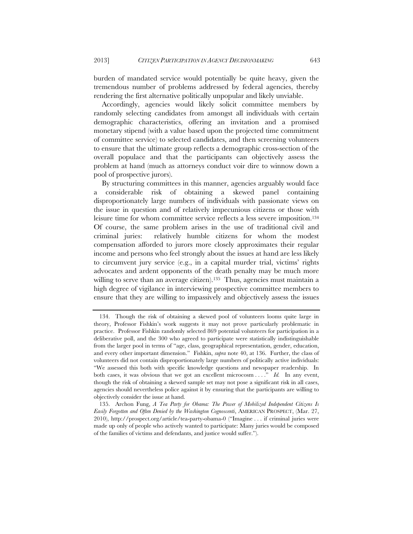burden of mandated service would potentially be quite heavy, given the tremendous number of problems addressed by federal agencies, thereby rendering the first alternative politically unpopular and likely unviable.

Accordingly, agencies would likely solicit committee members by randomly selecting candidates from amongst all individuals with certain demographic characteristics, offering an invitation and a promised monetary stipend (with a value based upon the projected time commitment of committee service) to selected candidates, and then screening volunteers to ensure that the ultimate group reflects a demographic cross-section of the overall populace and that the participants can objectively assess the problem at hand (much as attorneys conduct voir dire to winnow down a pool of prospective jurors).

By structuring committees in this manner, agencies arguably would face a considerable risk of obtaining a skewed panel containing disproportionately large numbers of individuals with passionate views on the issue in question and of relatively impecunious citizens or those with leisure time for whom committee service reflects a less severe imposition.134 Of course, the same problem arises in the use of traditional civil and criminal juries: relatively humble citizens for whom the modest compensation afforded to jurors more closely approximates their regular income and persons who feel strongly about the issues at hand are less likely to circumvent jury service (e.g., in a capital murder trial, victims' rights advocates and ardent opponents of the death penalty may be much more willing to serve than an average citizen).<sup>135</sup> Thus, agencies must maintain a high degree of vigilance in interviewing prospective committee members to ensure that they are willing to impassively and objectively assess the issues

 <sup>134.</sup> Though the risk of obtaining a skewed pool of volunteers looms quite large in theory, Professor Fishkin's work suggests it may not prove particularly problematic in practice. Professor Fishkin randomly selected 869 potential volunteers for participation in a deliberative poll, and the 300 who agreed to participate were statistically indistinguishable from the larger pool in terms of "age, class, geographical representation, gender, education, and every other important dimension." Fishkin, *supra* note 40, at 136. Further, the class of volunteers did not contain disproportionately large numbers of politically active individuals: "We assessed this both with specific knowledge questions and newspaper readership. In both cases, it was obvious that we got an excellent microcosm . . . ." *Id.* In any event, though the risk of obtaining a skewed sample set may not pose a significant risk in all cases, agencies should nevertheless police against it by ensuring that the participants are willing to objectively consider the issue at hand.

 <sup>135.</sup> Archon Fung, *A Tea Party for Obama: The Power of Mobilized Independent Citizens Is Easily Forgotten and Often Denied by the Washington Cognoscenti*, AMERICAN PROSPECT, (Mar. 27, 2010), http://prospect.org/article/tea-party-obama-0 ("Imagine . . . if criminal juries were made up only of people who actively wanted to participate: Many juries would be composed of the families of victims and defendants, and justice would suffer.").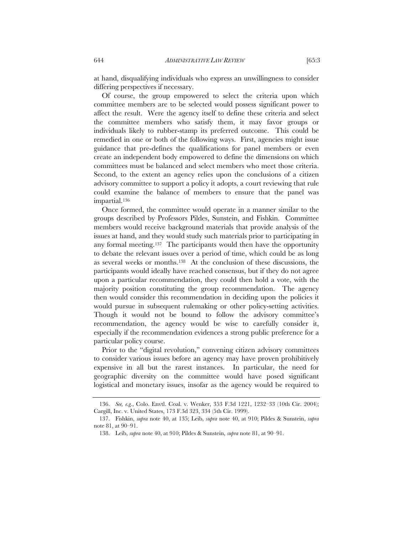at hand, disqualifying individuals who express an unwillingness to consider differing perspectives if necessary.

Of course, the group empowered to select the criteria upon which committee members are to be selected would possess significant power to affect the result. Were the agency itself to define these criteria and select the committee members who satisfy them, it may favor groups or individuals likely to rubber-stamp its preferred outcome. This could be remedied in one or both of the following ways. First, agencies might issue guidance that pre-defines the qualifications for panel members or even create an independent body empowered to define the dimensions on which committees must be balanced and select members who meet those criteria. Second, to the extent an agency relies upon the conclusions of a citizen advisory committee to support a policy it adopts, a court reviewing that rule could examine the balance of members to ensure that the panel was impartial.136

Once formed, the committee would operate in a manner similar to the groups described by Professors Pildes, Sunstein, and Fishkin. Committee members would receive background materials that provide analysis of the issues at hand, and they would study such materials prior to participating in any formal meeting.137 The participants would then have the opportunity to debate the relevant issues over a period of time, which could be as long as several weeks or months.138 At the conclusion of these discussions, the participants would ideally have reached consensus, but if they do not agree upon a particular recommendation, they could then hold a vote, with the majority position constituting the group recommendation. The agency then would consider this recommendation in deciding upon the policies it would pursue in subsequent rulemaking or other policy-setting activities. Though it would not be bound to follow the advisory committee's recommendation, the agency would be wise to carefully consider it, especially if the recommendation evidences a strong public preference for a particular policy course.

Prior to the "digital revolution," convening citizen advisory committees to consider various issues before an agency may have proven prohibitively expensive in all but the rarest instances. In particular, the need for geographic diversity on the committee would have posed significant logistical and monetary issues, insofar as the agency would be required to

 <sup>136.</sup> *See, e.g.*, Colo. Envtl. Coal. v. Wenker, 353 F.3d 1221, 1232–33 (10th Cir. 2004); Cargill, Inc. v. United States, 173 F.3d 323, 334 (5th Cir. 1999).

 <sup>137.</sup> Fishkin, *supra* note 40, at 135; Leib, *supra* note 40, at 910; Pildes & Sunstein, *supra* note 81, at 90–91.

 <sup>138.</sup> Leib, *supra* note 40, at 910; Pildes & Sunstein, *supra* note 81, at 90–91.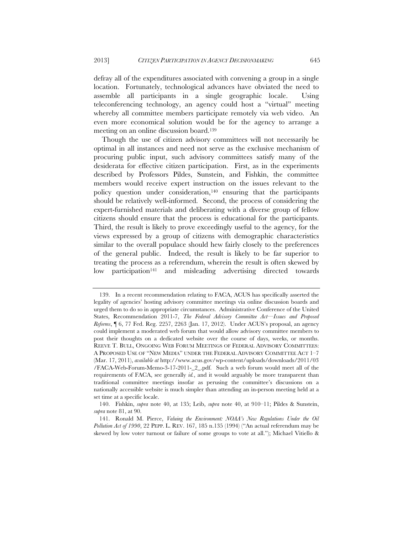defray all of the expenditures associated with convening a group in a single location. Fortunately, technological advances have obviated the need to assemble all participants in a single geographic locale. Using teleconferencing technology, an agency could host a "virtual" meeting whereby all committee members participate remotely via web video. An even more economical solution would be for the agency to arrange a meeting on an online discussion board.139

Though the use of citizen advisory committees will not necessarily be optimal in all instances and need not serve as the exclusive mechanism of procuring public input, such advisory committees satisfy many of the desiderata for effective citizen participation. First, as in the experiments described by Professors Pildes, Sunstein, and Fishkin, the committee members would receive expert instruction on the issues relevant to the policy question under consideration,<sup>140</sup> ensuring that the participants should be relatively well-informed. Second, the process of considering the expert-furnished materials and deliberating with a diverse group of fellow citizens should ensure that the process is educational for the participants. Third, the result is likely to prove exceedingly useful to the agency, for the views expressed by a group of citizens with demographic characteristics similar to the overall populace should hew fairly closely to the preferences of the general public. Indeed, the result is likely to be far superior to treating the process as a referendum, wherein the result is often skewed by low participation<sup>141</sup> and misleading advertising directed towards

 <sup>139.</sup> In a recent recommendation relating to FACA, ACUS has specifically asserted the legality of agencies' hosting advisory committee meetings via online discussion boards and urged them to do so in appropriate circumstances. Administrative Conference of the United States, Recommendation 2011-7, *The Federal Advisory Committee Act—Issues and Proposed Reforms*, ¶ 6, 77 Fed. Reg. 2257, 2263 (Jan. 17, 2012). Under ACUS's proposal, an agency could implement a moderated web forum that would allow advisory committee members to post their thoughts on a dedicated website over the course of days, weeks, or months. REEVE T. BULL, ONGOING WEB FORUM MEETINGS OF FEDERAL ADVISORY COMMITTEES: A PROPOSED USE OF "NEW MEDIA" UNDER THE FEDERAL ADVISORY COMMITTEE ACT 1–7 (Mar. 17, 2011), *available at* http://www.acus.gov/wp-content/uploads/downloads/2011/03 /FACA-Web-Forum-Memo-3-17-2011-\_2\_.pdf. Such a web forum would meet all of the requirements of FACA, see generally *id.*, and it would arguably be more transparent than traditional committee meetings insofar as perusing the committee's discussions on a nationally accessible website is much simpler than attending an in-person meeting held at a set time at a specific locale.

 <sup>140.</sup> Fishkin, *supra* note 40, at 135; Leib, *supra* note 40, at 910–11; Pildes & Sunstein, *supra* note 81, at 90.

 <sup>141.</sup> Ronald M. Pierce, *Valuing the Environment: NOAA's New Regulations Under the Oil Pollution Act of 1990*, 22 PEPP. L. REV. 167, 185 n.135 (1994) ("An actual referendum may be skewed by low voter turnout or failure of some groups to vote at all."); Michael Vitiello &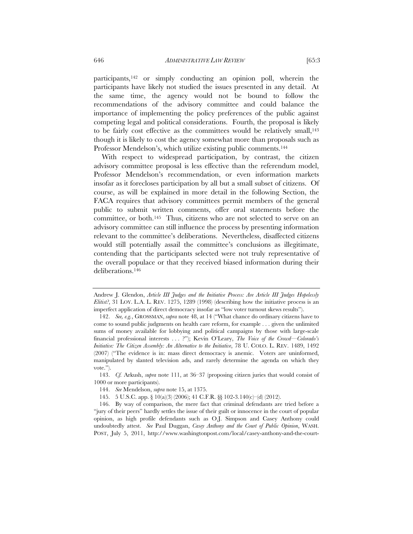participants,<sup>142</sup> or simply conducting an opinion poll, wherein the participants have likely not studied the issues presented in any detail. At the same time, the agency would not be bound to follow the recommendations of the advisory committee and could balance the importance of implementing the policy preferences of the public against competing legal and political considerations. Fourth, the proposal is likely to be fairly cost effective as the committees would be relatively small,<sup>143</sup> though it is likely to cost the agency somewhat more than proposals such as Professor Mendelson's, which utilize existing public comments.<sup>144</sup>

With respect to widespread participation, by contrast, the citizen advisory committee proposal is less effective than the referendum model, Professor Mendelson's recommendation, or even information markets insofar as it forecloses participation by all but a small subset of citizens. Of course, as will be explained in more detail in the following Section, the FACA requires that advisory committees permit members of the general public to submit written comments, offer oral statements before the committee, or both.145 Thus, citizens who are not selected to serve on an advisory committee can still influence the process by presenting information relevant to the committee's deliberations. Nevertheless, disaffected citizens would still potentially assail the committee's conclusions as illegitimate, contending that the participants selected were not truly representative of the overall populace or that they received biased information during their deliberations.146

Andrew J. Glendon, *Article III Judges and the Initiative Process: Are Article III Judges Hopelessly Elitist?*, 31 LOY. L.A. L. REV. 1275, 1289 (1998) (describing how the initiative process is an imperfect application of direct democracy insofar as "low voter turnout skews results").

 <sup>142.</sup> *See, e.g.*, GROSSMAN, *supra* note 48, at 14 ("What chance do ordinary citizens have to come to sound public judgments on health care reform, for example . . . given the unlimited sums of money available for lobbying and political campaigns by those with large-scale financial professional interests . . . ?"); Kevin O'Leary, *The Voice of the Crowd—Colorado's Initiative: The Citizen Assembly: An Alternative to the Initiative*, 78 U. COLO. L. REV. 1489, 1492 (2007) ("The evidence is in: mass direct democracy is anemic. Voters are uninformed, manipulated by slanted television ads, and rarely determine the agenda on which they vote.").

 <sup>143.</sup> *Cf.* Arkush, *supra* note 111, at 36–37 (proposing citizen juries that would consist of 1000 or more participants).

 <sup>144.</sup> *See* Mendelson, *supra* note 15, at 1375.

 <sup>145. 5</sup> U.S.C. app. § 10(a)(3) (2006); 41 C.F.R. §§ 102-3.140(c)–(d) (2012).

 <sup>146.</sup> By way of comparison, the mere fact that criminal defendants are tried before a "jury of their peers" hardly settles the issue of their guilt or innocence in the court of popular opinion, as high profile defendants such as O.J. Simpson and Casey Anthony could undoubtedly attest. *See* Paul Duggan, *Casey Anthony and the Court of Public Opinion*, WASH. POST, July 5, 2011, http://www.washingtonpost.com/local/casey-anthony-and-the-court-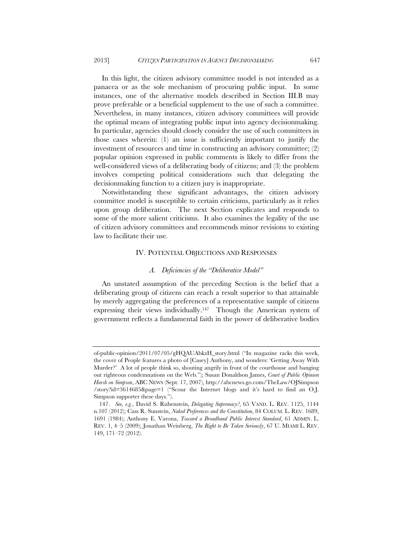In this light, the citizen advisory committee model is not intended as a panacea or as the sole mechanism of procuring public input. In some instances, one of the alternative models described in Section III.B may prove preferable or a beneficial supplement to the use of such a committee. Nevertheless, in many instances, citizen advisory committees will provide the optimal means of integrating public input into agency decisionmaking. In particular, agencies should closely consider the use of such committees in those cases wherein: (1) an issue is sufficiently important to justify the investment of resources and time in constructing an advisory committee; (2) popular opinion expressed in public comments is likely to differ from the well-considered views of a deliberating body of citizens; and (3) the problem involves competing political considerations such that delegating the decisionmaking function to a citizen jury is inappropriate.

Notwithstanding these significant advantages, the citizen advisory committee model is susceptible to certain criticisms, particularly as it relies upon group deliberation. The next Section explicates and responds to some of the more salient criticisms. It also examines the legality of the use of citizen advisory committees and recommends minor revisions to existing law to facilitate their use.

#### IV. POTENTIAL OBJECTIONS AND RESPONSES

## *A. Deficiencies of the "Deliberative Model"*

An unstated assumption of the preceding Section is the belief that a deliberating group of citizens can reach a result superior to that attainable by merely aggregating the preferences of a representative sample of citizens expressing their views individually.147 Though the American system of government reflects a fundamental faith in the power of deliberative bodies

of-public-opinion/2011/07/05/gHQAUAbkzH\_story.html ("In magazine racks this week, the cover of People features a photo of [Casey] Anthony, and wonders: 'Getting Away With Murder?' A lot of people think so, shouting angrily in front of the courthouse and banging out righteous condemnations on the Web."); Susan Donaldson James, *Court of Public Opinion Harsh on Simpson*, ABC NEWS (Sept. 17, 2007), http://abcnews.go.com/TheLaw/OJSimpson /story?id=3614685&page=1 ("Scour the Internet blogs and it's hard to find an O.J. Simpson supporter these days.").

 <sup>147.</sup> *See, e.g.*, David S. Rubenstein, *Delegating Supremacy?*, 65 VAND. L. REV. 1125, 1144 n.107 (2012); Cass R. Sunstein, *Naked Preferences and the Constitution*, 84 COLUM. L. REV. 1689, 1691 (1984); Anthony E. Varona, *Toward a Broadband Public Interest Standard*, 61 ADMIN. L. REV. 1, 4–5 (2009); Jonathan Weinberg, *The Right to Be Taken Seriously*, 67 U. MIAMI L. REV. 149, 171–72 (2012).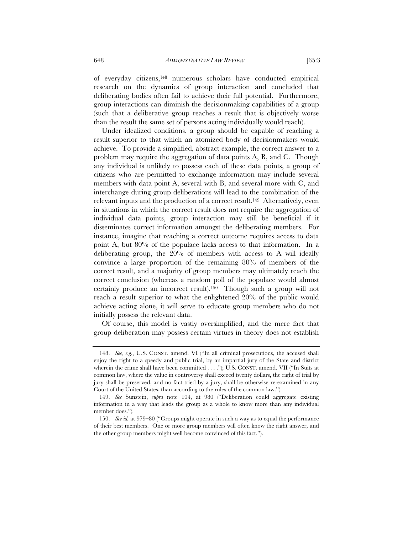of everyday citizens,148 numerous scholars have conducted empirical research on the dynamics of group interaction and concluded that deliberating bodies often fail to achieve their full potential. Furthermore, group interactions can diminish the decisionmaking capabilities of a group (such that a deliberative group reaches a result that is objectively worse than the result the same set of persons acting individually would reach).

Under idealized conditions, a group should be capable of reaching a result superior to that which an atomized body of decisionmakers would achieve. To provide a simplified, abstract example, the correct answer to a problem may require the aggregation of data points A, B, and C. Though any individual is unlikely to possess each of these data points, a group of citizens who are permitted to exchange information may include several members with data point A, several with B, and several more with C, and interchange during group deliberations will lead to the combination of the relevant inputs and the production of a correct result.149 Alternatively, even in situations in which the correct result does not require the aggregation of individual data points, group interaction may still be beneficial if it disseminates correct information amongst the deliberating members. For instance, imagine that reaching a correct outcome requires access to data point A, but 80% of the populace lacks access to that information. In a deliberating group, the 20% of members with access to A will ideally convince a large proportion of the remaining 80% of members of the correct result, and a majority of group members may ultimately reach the correct conclusion (whereas a random poll of the populace would almost certainly produce an incorrect result).150 Though such a group will not reach a result superior to what the enlightened 20% of the public would achieve acting alone, it will serve to educate group members who do not initially possess the relevant data.

Of course, this model is vastly oversimplified, and the mere fact that group deliberation may possess certain virtues in theory does not establish

 <sup>148.</sup> *See, e.g.*, U.S. CONST. amend. VI ("In all criminal prosecutions, the accused shall enjoy the right to a speedy and public trial, by an impartial jury of the State and district wherein the crime shall have been committed . . . ."); U.S. CONST. amend. VII ("In Suits at common law, where the value in controversy shall exceed twenty dollars, the right of trial by jury shall be preserved, and no fact tried by a jury, shall be otherwise re-examined in any Court of the United States, than according to the rules of the common law.").

 <sup>149.</sup> *See* Sunstein, *supra* note 104, at 980 ("Deliberation could aggregate existing information in a way that leads the group as a whole to know more than any individual member does.").

 <sup>150.</sup> *See id.* at 979–80 ("Groups might operate in such a way as to equal the performance of their best members. One or more group members will often know the right answer, and the other group members might well become convinced of this fact.").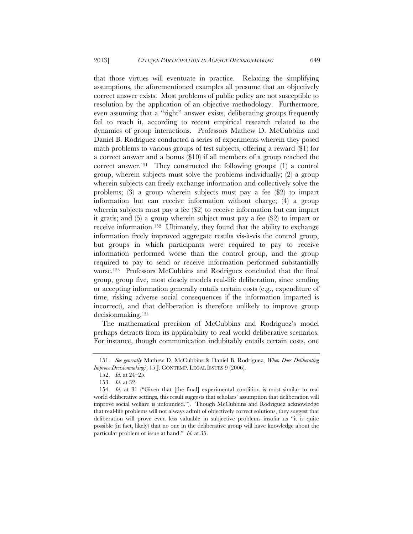that those virtues will eventuate in practice. Relaxing the simplifying assumptions, the aforementioned examples all presume that an objectively correct answer exists. Most problems of public policy are not susceptible to resolution by the application of an objective methodology. Furthermore, even assuming that a "right" answer exists, deliberating groups frequently fail to reach it, according to recent empirical research related to the dynamics of group interactions. Professors Mathew D. McCubbins and Daniel B. Rodriguez conducted a series of experiments wherein they posed math problems to various groups of test subjects, offering a reward (\$1) for a correct answer and a bonus (\$10) if all members of a group reached the correct answer.151 They constructed the following groups: (1) a control group, wherein subjects must solve the problems individually; (2) a group wherein subjects can freely exchange information and collectively solve the problems; (3) a group wherein subjects must pay a fee (\$2) to impart information but can receive information without charge; (4) a group wherein subjects must pay a fee (\$2) to receive information but can impart it gratis; and (5) a group wherein subject must pay a fee (\$2) to impart or receive information.152 Ultimately, they found that the ability to exchange information freely improved aggregate results vis-à-vis the control group, but groups in which participants were required to pay to receive information performed worse than the control group, and the group required to pay to send or receive information performed substantially worse.153 Professors McCubbins and Rodriguez concluded that the final group, group five, most closely models real-life deliberation, since sending or accepting information generally entails certain costs (e.g., expenditure of time, risking adverse social consequences if the information imparted is incorrect), and that deliberation is therefore unlikely to improve group decisionmaking.154

The mathematical precision of McCubbins and Rodriguez's model perhaps detracts from its applicability to real world deliberative scenarios. For instance, though communication indubitably entails certain costs, one

 <sup>151.</sup> *See generally* Mathew D. McCubbins & Daniel B. Rodriguez, *When Does Deliberating Improve Decisionmaking?*, 15 J. CONTEMP. LEGAL ISSUES 9 (2006).

 <sup>152.</sup> *Id.* at 24–25.

 <sup>153.</sup> *Id.* at 32.

 <sup>154.</sup> *Id.* at 31 ("Given that [the final] experimental condition is most similar to real world deliberative settings, this result suggests that scholars' assumption that deliberation will improve social welfare is unfounded."). Though McCubbins and Rodriguez acknowledge that real-life problems will not always admit of objectively correct solutions, they suggest that deliberation will prove even less valuable in subjective problems insofar as "it is quite possible (in fact, likely) that no one in the deliberative group will have knowledge about the particular problem or issue at hand." *Id.* at 35.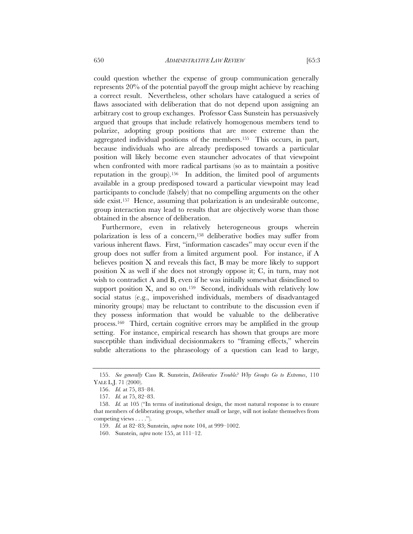could question whether the expense of group communication generally represents 20% of the potential payoff the group might achieve by reaching a correct result. Nevertheless, other scholars have catalogued a series of flaws associated with deliberation that do not depend upon assigning an arbitrary cost to group exchanges. Professor Cass Sunstein has persuasively argued that groups that include relatively homogenous members tend to polarize, adopting group positions that are more extreme than the aggregated individual positions of the members.155 This occurs, in part, because individuals who are already predisposed towards a particular position will likely become even stauncher advocates of that viewpoint when confronted with more radical partisans (so as to maintain a positive reputation in the group).156 In addition, the limited pool of arguments available in a group predisposed toward a particular viewpoint may lead participants to conclude (falsely) that no compelling arguments on the other side exist.<sup>157</sup> Hence, assuming that polarization is an undesirable outcome, group interaction may lead to results that are objectively worse than those obtained in the absence of deliberation.

Furthermore, even in relatively heterogeneous groups wherein polarization is less of a concern,158 deliberative bodies may suffer from various inherent flaws. First, "information cascades" may occur even if the group does not suffer from a limited argument pool. For instance, if A believes position X and reveals this fact, B may be more likely to support position X as well if she does not strongly oppose it; C, in turn, may not wish to contradict A and B, even if he was initially somewhat disinclined to support position X, and so on.<sup>159</sup> Second, individuals with relatively low social status (e.g., impoverished individuals, members of disadvantaged minority groups) may be reluctant to contribute to the discussion even if they possess information that would be valuable to the deliberative process.160 Third, certain cognitive errors may be amplified in the group setting. For instance, empirical research has shown that groups are more susceptible than individual decisionmakers to "framing effects," wherein subtle alterations to the phraseology of a question can lead to large,

 <sup>155.</sup> *See generally* Cass R. Sunstein, *Deliberative Trouble? Why Groups Go to Extremes*, 110 YALE L.J. 71 (2000).

 <sup>156.</sup> *Id.* at 75, 83–84.

 <sup>157.</sup> *Id.* at 75, 82–83.

 <sup>158.</sup> *Id.* at 105 ("In terms of institutional design, the most natural response is to ensure that members of deliberating groups, whether small or large, will not isolate themselves from competing views . . . .").

 <sup>159.</sup> *Id.* at 82–83; Sunstein, *supra* note 104, at 999–1002.

 <sup>160.</sup> Sunstein, *supra* note 155, at 111–12.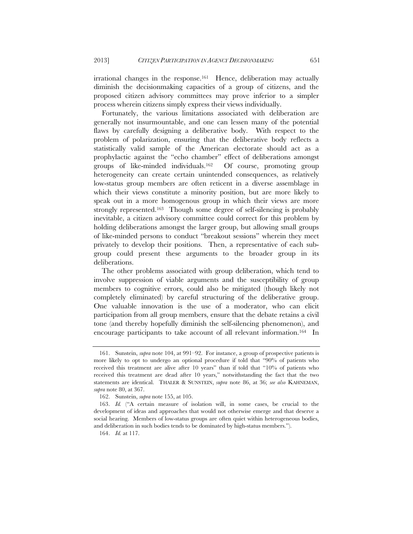irrational changes in the response.161 Hence, deliberation may actually diminish the decisionmaking capacities of a group of citizens, and the proposed citizen advisory committees may prove inferior to a simpler process wherein citizens simply express their views individually.

Fortunately, the various limitations associated with deliberation are generally not insurmountable, and one can lessen many of the potential flaws by carefully designing a deliberative body. With respect to the problem of polarization, ensuring that the deliberative body reflects a statistically valid sample of the American electorate should act as a prophylactic against the "echo chamber" effect of deliberations amongst groups of like-minded individuals.162 Of course, promoting group heterogeneity can create certain unintended consequences, as relatively low-status group members are often reticent in a diverse assemblage in which their views constitute a minority position, but are more likely to speak out in a more homogenous group in which their views are more strongly represented.163 Though some degree of self-silencing is probably inevitable, a citizen advisory committee could correct for this problem by holding deliberations amongst the larger group, but allowing small groups of like-minded persons to conduct "breakout sessions" wherein they meet privately to develop their positions. Then, a representative of each subgroup could present these arguments to the broader group in its deliberations.

The other problems associated with group deliberation, which tend to involve suppression of viable arguments and the susceptibility of group members to cognitive errors, could also be mitigated (though likely not completely eliminated) by careful structuring of the deliberative group. One valuable innovation is the use of a moderator, who can elicit participation from all group members, ensure that the debate retains a civil tone (and thereby hopefully diminish the self-silencing phenomenon), and encourage participants to take account of all relevant information.164 In

 <sup>161.</sup> Sunstein, *supra* note 104, at 991–92. For instance, a group of prospective patients is more likely to opt to undergo an optional procedure if told that "90% of patients who received this treatment are alive after 10 years" than if told that "10% of patients who received this treatment are dead after 10 years," notwithstanding the fact that the two statements are identical. THALER & SUNSTEIN, *supra* note 86, at 36; *see also* KAHNEMAN, *supra* note 80, at 367.

 <sup>162.</sup> Sunstein, *supra* note 155, at 105.

 <sup>163.</sup> *Id.* ("A certain measure of isolation will, in some cases, be crucial to the development of ideas and approaches that would not otherwise emerge and that deserve a social hearing. Members of low-status groups are often quiet within heterogeneous bodies, and deliberation in such bodies tends to be dominated by high-status members.").

 <sup>164.</sup> *Id.* at 117.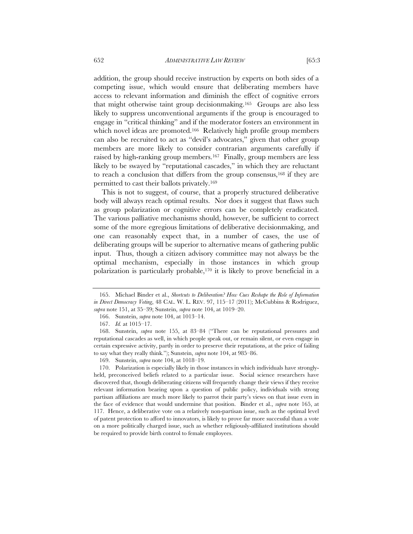addition, the group should receive instruction by experts on both sides of a competing issue, which would ensure that deliberating members have access to relevant information and diminish the effect of cognitive errors that might otherwise taint group decisionmaking.165 Groups are also less likely to suppress unconventional arguments if the group is encouraged to engage in "critical thinking" and if the moderator fosters an environment in which novel ideas are promoted.<sup>166</sup> Relatively high profile group members can also be recruited to act as "devil's advocates," given that other group members are more likely to consider contrarian arguments carefully if raised by high-ranking group members.167 Finally, group members are less likely to be swayed by "reputational cascades," in which they are reluctant to reach a conclusion that differs from the group consensus,168 if they are permitted to cast their ballots privately.169

This is not to suggest, of course, that a properly structured deliberative body will always reach optimal results. Nor does it suggest that flaws such as group polarization or cognitive errors can be completely eradicated. The various palliative mechanisms should, however, be sufficient to correct some of the more egregious limitations of deliberative decisionmaking, and one can reasonably expect that, in a number of cases, the use of deliberating groups will be superior to alternative means of gathering public input. Thus, though a citizen advisory committee may not always be the optimal mechanism, especially in those instances in which group polarization is particularly probable,170 it is likely to prove beneficial in a

 <sup>165.</sup> Michael Binder et al., *Shortcuts to Deliberation? How Cues Reshape the Role of Information in Direct Democracy Voting*, 48 CAL. W. L. REV. 97, 115–17 (2011); McCubbins & Rodriguez, *supra* note 151, at 35–39; Sunstein, *supra* note 104, at 1019–20.

 <sup>166.</sup> Sunstein, *supra* note 104, at 1013–14.

 <sup>167.</sup> *Id.* at 1015–17.

 <sup>168.</sup> Sunstein, *supra* note 155, at 83–84 ("There can be reputational pressures and reputational cascades as well, in which people speak out, or remain silent, or even engage in certain expressive activity, partly in order to preserve their reputations, at the price of failing to say what they really think."); Sunstein, *supra* note 104, at 985–86.

 <sup>169.</sup> Sunstein, *supra* note 104, at 1018–19.

 <sup>170.</sup> Polarization is especially likely in those instances in which individuals have stronglyheld, preconceived beliefs related to a particular issue. Social science researchers have discovered that, though deliberating citizens will frequently change their views if they receive relevant information bearing upon a question of public policy, individuals with strong partisan affiliations are much more likely to parrot their party's views on that issue even in the face of evidence that would undermine that position. Binder et al., *supra* note 165, at 117. Hence, a deliberative vote on a relatively non-partisan issue, such as the optimal level of patent protection to afford to innovators, is likely to prove far more successful than a vote on a more politically charged issue, such as whether religiously-affiliated institutions should be required to provide birth control to female employees.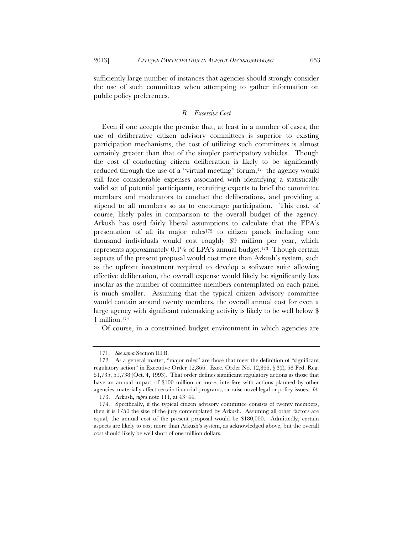sufficiently large number of instances that agencies should strongly consider the use of such committees when attempting to gather information on public policy preferences.

#### *B. Excessive Cost*

Even if one accepts the premise that, at least in a number of cases, the use of deliberative citizen advisory committees is superior to existing participation mechanisms, the cost of utilizing such committees is almost certainly greater than that of the simpler participatory vehicles. Though the cost of conducting citizen deliberation is likely to be significantly reduced through the use of a "virtual meeting" forum,<sup>171</sup> the agency would still face considerable expenses associated with identifying a statistically valid set of potential participants, recruiting experts to brief the committee members and moderators to conduct the deliberations, and providing a stipend to all members so as to encourage participation. This cost, of course, likely pales in comparison to the overall budget of the agency. Arkush has used fairly liberal assumptions to calculate that the EPA's presentation of all its major rules<sup>172</sup> to citizen panels including one thousand individuals would cost roughly \$9 million per year, which represents approximately 0.1% of EPA's annual budget.173 Though certain aspects of the present proposal would cost more than Arkush's system, such as the upfront investment required to develop a software suite allowing effective deliberation, the overall expense would likely be significantly less insofar as the number of committee members contemplated on each panel is much smaller. Assuming that the typical citizen advisory committee would contain around twenty members, the overall annual cost for even a large agency with significant rulemaking activity is likely to be well below \$ 1 million.174

Of course, in a constrained budget environment in which agencies are

 <sup>171.</sup> *See supra* Section III.B.

 <sup>172.</sup> As a general matter, "major rules" are those that meet the definition of "significant regulatory action" in Executive Order 12,866. Exec. Order No. 12,866, § 3(f), 58 Fed. Reg. 51,735, 51,738 (Oct. 4, 1993). That order defines significant regulatory actions as those that have an annual impact of \$100 million or more, interfere with actions planned by other agencies, materially affect certain financial programs, or raise novel legal or policy issues. *Id.* 173. Arkush, *supra* note 111, at 43–44.

 <sup>174.</sup> Specifically, if the typical citizen advisory committee consists of twenty members, then it is 1/50 the size of the jury contemplated by Arkush. Assuming all other factors are equal, the annual cost of the present proposal would be \$180,000. Admittedly, certain aspects are likely to cost more than Arkush's system, as acknowledged above, but the overall cost should likely be well short of one million dollars.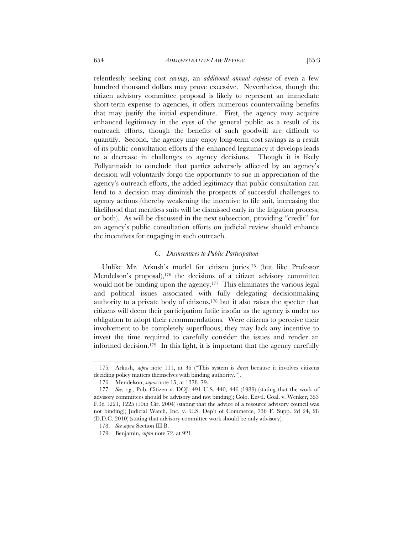relentlessly seeking cost *savings*, an *additional annual expense* of even a few hundred thousand dollars may prove excessive. Nevertheless, though the citizen advisory committee proposal is likely to represent an immediate short-term expense to agencies, it offers numerous countervailing benefits that may justify the initial expenditure. First, the agency may acquire enhanced legitimacy in the eyes of the general public as a result of its outreach efforts, though the benefits of such goodwill are difficult to quantify. Second, the agency may enjoy long-term cost savings as a result of its public consultation efforts if the enhanced legitimacy it develops leads to a decrease in challenges to agency decisions. Though it is likely Pollyannaish to conclude that parties adversely affected by an agency's decision will voluntarily forgo the opportunity to sue in appreciation of the agency's outreach efforts, the added legitimacy that public consultation can lend to a decision may diminish the prospects of successful challenges to agency actions (thereby weakening the incentive to file suit, increasing the

likelihood that meritless suits will be dismissed early in the litigation process, or both). As will be discussed in the next subsection, providing "credit" for an agency's public consultation efforts on judicial review should enhance the incentives for engaging in such outreach.

## *C. Disincentives to Public Participation*

Unlike Mr. Arkush's model for citizen juries175 (but like Professor Mendelson's proposal),<sup>176</sup> the decisions of a citizen advisory committee would not be binding upon the agency.177 This eliminates the various legal and political issues associated with fully delegating decisionmaking authority to a private body of citizens,178 but it also raises the specter that citizens will deem their participation futile insofar as the agency is under no obligation to adopt their recommendations. Were citizens to perceive their involvement to be completely superfluous, they may lack any incentive to invest the time required to carefully consider the issues and render an informed decision.179 In this light, it is important that the agency carefully

<sup>175</sup>*.* Arkush, *supra* note 111, at 36 ("This system is *direct* because it involves citizens deciding policy matters themselves with binding authority.").

 <sup>176.</sup> Mendelson, *supra* note 15, at 1378–79.

 <sup>177.</sup> *See, e.g.*, Pub. Citizen v. DOJ, 491 U.S. 440, 446 (1989) (stating that the work of advisory committees should be advisory and not binding); Colo. Envtl. Coal. v. Wenker, 353 F.3d 1221, 1225 (10th Cir. 2004) (stating that the advice of a resource advisory council was not binding); Judicial Watch, Inc. v. U.S. Dep't of Commerce, 736 F. Supp. 2d 24, 28 (D.D.C. 2010) (stating that advisory committee work should be only advisory).

 <sup>178.</sup> *See supra* Section III.B.

 <sup>179.</sup> Benjamin, *supra* note 72, at 921.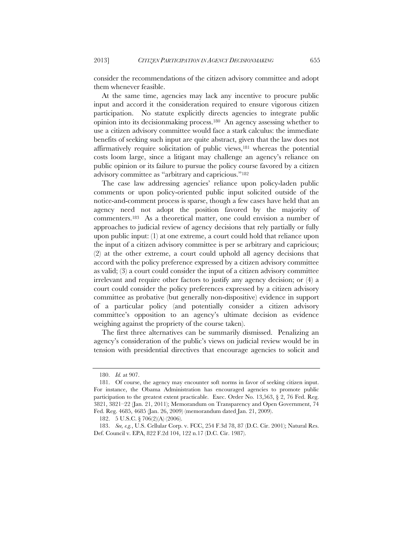consider the recommendations of the citizen advisory committee and adopt them whenever feasible.

At the same time, agencies may lack any incentive to procure public input and accord it the consideration required to ensure vigorous citizen participation. No statute explicitly directs agencies to integrate public opinion into its decisionmaking process.180 An agency assessing whether to use a citizen advisory committee would face a stark calculus: the immediate benefits of seeking such input are quite abstract, given that the law does not affirmatively require solicitation of public views,181 whereas the potential costs loom large, since a litigant may challenge an agency's reliance on public opinion or its failure to pursue the policy course favored by a citizen advisory committee as "arbitrary and capricious."182

The case law addressing agencies' reliance upon policy-laden public comments or upon policy-oriented public input solicited outside of the notice-and-comment process is sparse, though a few cases have held that an agency need not adopt the position favored by the majority of commenters.183 As a theoretical matter, one could envision a number of approaches to judicial review of agency decisions that rely partially or fully upon public input: (1) at one extreme, a court could hold that reliance upon the input of a citizen advisory committee is per se arbitrary and capricious; (2) at the other extreme, a court could uphold all agency decisions that accord with the policy preference expressed by a citizen advisory committee as valid; (3) a court could consider the input of a citizen advisory committee irrelevant and require other factors to justify any agency decision; or (4) a court could consider the policy preferences expressed by a citizen advisory committee as probative (but generally non-dispositive) evidence in support of a particular policy (and potentially consider a citizen advisory committee's opposition to an agency's ultimate decision as evidence weighing against the propriety of the course taken).

The first three alternatives can be summarily dismissed. Penalizing an agency's consideration of the public's views on judicial review would be in tension with presidential directives that encourage agencies to solicit and

 <sup>180.</sup> *Id.* at 907.

 <sup>181.</sup> Of course, the agency may encounter soft norms in favor of seeking citizen input. For instance, the Obama Administration has encouraged agencies to promote public participation to the greatest extent practicable. Exec. Order No. 13,563,  $\S$  2, 76 Fed. Reg. 3821, 3821–22 (Jan. 21, 2011); Memorandum on Transparency and Open Government, 74 Fed. Reg. 4685, 4685 (Jan. 26, 2009) (memorandum dated Jan. 21, 2009).

 <sup>182. 5</sup> U.S.C. § 706(2)(A) (2006).

 <sup>183.</sup> *See, e.g.*, U.S. Cellular Corp. v. FCC, 254 F.3d 78, 87 (D.C. Cir. 2001); Natural Res. Def. Council v. EPA, 822 F.2d 104, 122 n.17 (D.C. Cir. 1987).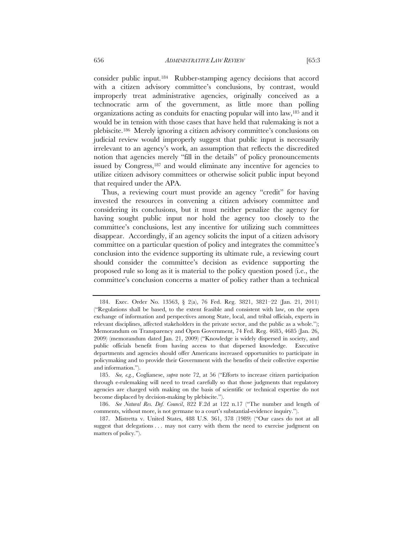consider public input.184 Rubber-stamping agency decisions that accord with a citizen advisory committee's conclusions, by contrast, would improperly treat administrative agencies, originally conceived as a technocratic arm of the government, as little more than polling organizations acting as conduits for enacting popular will into law,185 and it would be in tension with those cases that have held that rulemaking is not a plebiscite.186 Merely ignoring a citizen advisory committee's conclusions on judicial review would improperly suggest that public input is necessarily irrelevant to an agency's work, an assumption that reflects the discredited notion that agencies merely "fill in the details" of policy pronouncements issued by Congress,<sup>187</sup> and would eliminate any incentive for agencies to utilize citizen advisory committees or otherwise solicit public input beyond that required under the APA.

Thus, a reviewing court must provide an agency "credit" for having invested the resources in convening a citizen advisory committee and considering its conclusions, but it must neither penalize the agency for having sought public input nor hold the agency too closely to the committee's conclusions, lest any incentive for utilizing such committees disappear. Accordingly, if an agency solicits the input of a citizen advisory committee on a particular question of policy and integrates the committee's conclusion into the evidence supporting its ultimate rule, a reviewing court should consider the committee's decision as evidence supporting the proposed rule so long as it is material to the policy question posed (i.e., the committee's conclusion concerns a matter of policy rather than a technical

 <sup>184.</sup> Exec. Order No. 13563, § 2(a), 76 Fed. Reg. 3821, 3821–22 (Jan. 21, 2011) ("Regulations shall be based, to the extent feasible and consistent with law, on the open exchange of information and perspectives among State, local, and tribal officials, experts in relevant disciplines, affected stakeholders in the private sector, and the public as a whole."); Memorandum on Transparency and Open Government, 74 Fed. Reg. 4685, 4685 (Jan. 26, 2009) (memorandum dated Jan. 21, 2009) ("Knowledge is widely dispersed in society, and public officials benefit from having access to that dispersed knowledge. Executive departments and agencies should offer Americans increased opportunities to participate in policymaking and to provide their Government with the benefits of their collective expertise and information.").

 <sup>185.</sup> *See, e.g.*, Coglianese, *supra* note 72, at 56 ("Efforts to increase citizen participation through e-rulemaking will need to tread carefully so that those judgments that regulatory agencies are charged with making on the basis of scientific or technical expertise do not become displaced by decision-making by plebiscite.").

 <sup>186.</sup> *See Natural Res. Def. Council*, 822 F.2d at 122 n.17 ("The number and length of comments, without more, is not germane to a court's substantial-evidence inquiry.").

 <sup>187.</sup> Mistretta v. United States, 488 U.S. 361, 378 (1989) ("Our cases do not at all suggest that delegations . . . may not carry with them the need to exercise judgment on matters of policy.").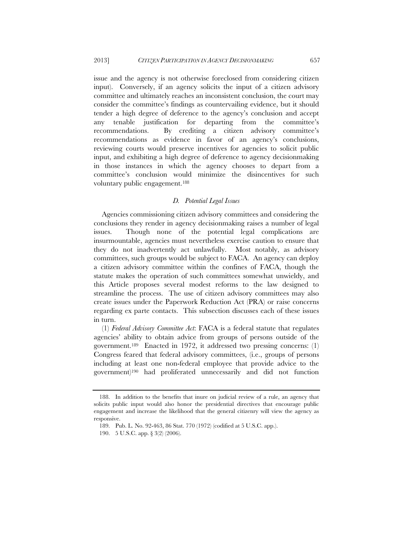issue and the agency is not otherwise foreclosed from considering citizen input). Conversely, if an agency solicits the input of a citizen advisory committee and ultimately reaches an inconsistent conclusion, the court may consider the committee's findings as countervailing evidence, but it should tender a high degree of deference to the agency's conclusion and accept any tenable justification for departing from the committee's recommendations. By crediting a citizen advisory committee's recommendations as evidence in favor of an agency's conclusions, reviewing courts would preserve incentives for agencies to solicit public input, and exhibiting a high degree of deference to agency decisionmaking in those instances in which the agency chooses to depart from a committee's conclusion would minimize the disincentives for such voluntary public engagement.188

## *D. Potential Legal Issues*

Agencies commissioning citizen advisory committees and considering the conclusions they render in agency decisionmaking raises a number of legal issues. Though none of the potential legal complications are insurmountable, agencies must nevertheless exercise caution to ensure that they do not inadvertently act unlawfully. Most notably, as advisory committees, such groups would be subject to FACA. An agency can deploy a citizen advisory committee within the confines of FACA, though the statute makes the operation of such committees somewhat unwieldy, and this Article proposes several modest reforms to the law designed to streamline the process. The use of citizen advisory committees may also create issues under the Paperwork Reduction Act (PRA) or raise concerns regarding ex parte contacts. This subsection discusses each of these issues in turn.

(1) *Federal Advisory Committee Act*: FACA is a federal statute that regulates agencies' ability to obtain advice from groups of persons outside of the government.189 Enacted in 1972, it addressed two pressing concerns: (1) Congress feared that federal advisory committees, (i.e., groups of persons including at least one non-federal employee that provide advice to the government)190 had proliferated unnecessarily and did not function

 <sup>188.</sup> In addition to the benefits that inure on judicial review of a rule, an agency that solicits public input would also honor the presidential directives that encourage public engagement and increase the likelihood that the general citizenry will view the agency as responsive.

 <sup>189.</sup> Pub. L. No. 92-463, 86 Stat. 770 (1972) (codified at 5 U.S.C. app.).

 <sup>190. 5</sup> U.S.C. app. § 3(2) (2006).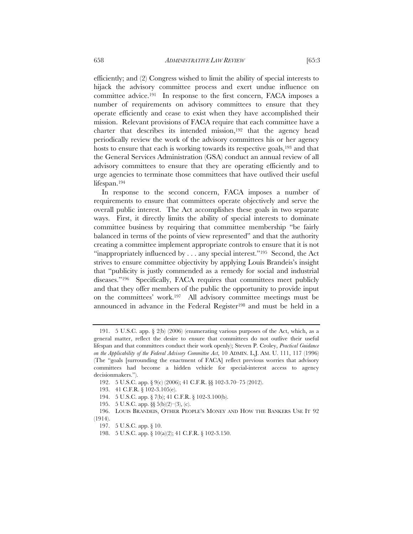efficiently; and (2) Congress wished to limit the ability of special interests to hijack the advisory committee process and exert undue influence on committee advice.191 In response to the first concern, FACA imposes a number of requirements on advisory committees to ensure that they operate efficiently and cease to exist when they have accomplished their mission. Relevant provisions of FACA require that each committee have a charter that describes its intended mission,192 that the agency head periodically review the work of the advisory committees his or her agency hosts to ensure that each is working towards its respective goals,<sup>193</sup> and that the General Services Administration (GSA) conduct an annual review of all advisory committees to ensure that they are operating efficiently and to urge agencies to terminate those committees that have outlived their useful lifespan.194

In response to the second concern, FACA imposes a number of requirements to ensure that committees operate objectively and serve the overall public interest. The Act accomplishes these goals in two separate ways. First, it directly limits the ability of special interests to dominate committee business by requiring that committee membership "be fairly balanced in terms of the points of view represented" and that the authority creating a committee implement appropriate controls to ensure that it is not "inappropriately influenced by  $\dots$  any special interest."<sup>195</sup> Second, the Act strives to ensure committee objectivity by applying Louis Brandeis's insight that "publicity is justly commended as a remedy for social and industrial diseases."<sup>196</sup> Specifically, FACA requires that committees meet publicly and that they offer members of the public the opportunity to provide input on the committees' work.197 All advisory committee meetings must be announced in advance in the Federal Register<sup>198</sup> and must be held in a

 <sup>191. 5</sup> U.S.C. app. § 2(b) (2006) (enumerating various purposes of the Act, which, as a general matter, reflect the desire to ensure that committees do not outlive their useful lifespan and that committees conduct their work openly); Steven P. Croley, *Practical Guidance on the Applicability of the Federal Advisory Committee Act*, 10 ADMIN. L.J. AM. U. 111, 117 (1996) (The "goals [surrounding the enactment of FACA] reflect previous worries that advisory committees had become a hidden vehicle for special-interest access to agency decisionmakers.").

 <sup>192. 5</sup> U.S.C. app. § 9(c) (2006); 41 C.F.R. §§ 102-3.70–75 (2012).

 <sup>193. 41</sup> C.F.R. § 102-3.105(e).

 <sup>194. 5</sup> U.S.C. app. § 7(b); 41 C.F.R. § 102-3.100(b).

<sup>195. 5</sup> U.S.C. app.  $\S$  5(b)(2)–(3), (c).

 <sup>196.</sup> LOUIS BRANDEIS, OTHER PEOPLE'S MONEY AND HOW THE BANKERS USE IT 92 (1914).

 <sup>197. 5</sup> U.S.C. app. § 10.

 <sup>198. 5</sup> U.S.C. app. § 10(a)(2); 41 C.F.R. § 102-3.150.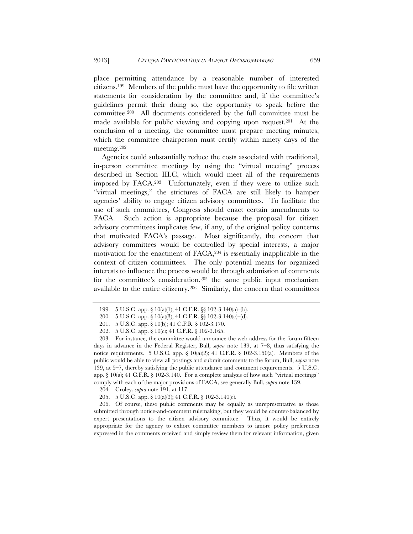place permitting attendance by a reasonable number of interested citizens.199 Members of the public must have the opportunity to file written statements for consideration by the committee and, if the committee's guidelines permit their doing so, the opportunity to speak before the committee.200 All documents considered by the full committee must be made available for public viewing and copying upon request.201 At the conclusion of a meeting, the committee must prepare meeting minutes, which the committee chairperson must certify within ninety days of the meeting.202

Agencies could substantially reduce the costs associated with traditional, in-person committee meetings by using the "virtual meeting" process described in Section III.C, which would meet all of the requirements imposed by FACA.203 Unfortunately, even if they were to utilize such "virtual meetings," the strictures of FACA are still likely to hamper agencies' ability to engage citizen advisory committees. To facilitate the use of such committees, Congress should enact certain amendments to FACA. Such action is appropriate because the proposal for citizen advisory committees implicates few, if any, of the original policy concerns that motivated FACA's passage. Most significantly, the concern that advisory committees would be controlled by special interests, a major motivation for the enactment of FACA,204 is essentially inapplicable in the context of citizen committees. The only potential means for organized interests to influence the process would be through submission of comments for the committee's consideration,<sup>205</sup> the same public input mechanism available to the entire citizenry.206 Similarly, the concern that committees

204. Croley, *supra* note 191, at 117.

205. 5 U.S.C. app. § 10(a)(3); 41 C.F.R. § 102-3.140(c).

 206. Of course, these public comments may be equally as unrepresentative as those submitted through notice-and-comment rulemaking, but they would be counter-balanced by expert presentations to the citizen advisory committee. Thus, it would be entirely appropriate for the agency to exhort committee members to ignore policy preferences expressed in the comments received and simply review them for relevant information, given

 <sup>199. 5</sup> U.S.C. app. § 10(a)(1); 41 C.F.R. §§ 102-3.140(a)–(b).

 <sup>200. 5</sup> U.S.C. app. § 10(a)(3); 41 C.F.R. §§ 102-3.140(c)–(d).

 <sup>201. 5</sup> U.S.C. app. § 10(b); 41 C.F.R. § 102-3.170.

 <sup>202. 5</sup> U.S.C. app. § 10(c); 41 C.F.R. § 102-3.165.

 <sup>203.</sup> For instance, the committee would announce the web address for the forum fifteen days in advance in the Federal Register, Bull, *supra* note 139, at 7–8, thus satisfying the notice requirements. 5 U.S.C. app.  $\S$  10(a)(2); 41 C.F.R.  $\S$  102-3.150(a). Members of the public would be able to view all postings and submit comments to the forum, Bull, *supra* note 139, at 5–7, thereby satisfying the public attendance and comment requirements. 5 U.S.C. app.  $\S$  10(a); 41 C.F.R.  $\S$  102-3.140. For a complete analysis of how such "virtual meetings" comply with each of the major provisions of FACA, see generally Bull, *supra* note 139.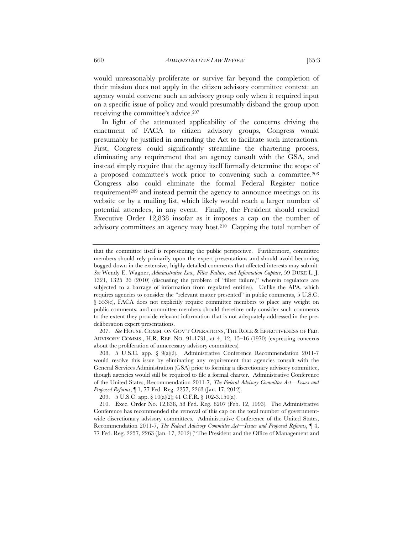would unreasonably proliferate or survive far beyond the completion of their mission does not apply in the citizen advisory committee context: an agency would convene such an advisory group only when it required input on a specific issue of policy and would presumably disband the group upon receiving the committee's advice.207

In light of the attenuated applicability of the concerns driving the enactment of FACA to citizen advisory groups, Congress would presumably be justified in amending the Act to facilitate such interactions. First, Congress could significantly streamline the chartering process, eliminating any requirement that an agency consult with the GSA, and instead simply require that the agency itself formally determine the scope of a proposed committee's work prior to convening such a committee.208 Congress also could eliminate the formal Federal Register notice requirement<sup>209</sup> and instead permit the agency to announce meetings on its website or by a mailing list, which likely would reach a larger number of potential attendees, in any event. Finally, the President should rescind Executive Order 12,838 insofar as it imposes a cap on the number of advisory committees an agency may host.210 Capping the total number of

 207. *See* HOUSE. COMM. ON GOV'T OPERATIONS, THE ROLE & EFFECTIVENESS OF FED. ADVISORY COMMS., H.R. REP. NO. 91-1731, at 4, 12, 15–16 (1970) (expressing concerns about the proliferation of unnecessary advisory committees).

209. 5 U.S.C. app. § 10(a)(2); 41 C.F.R. § 102-3.150(a).

 210. Exec. Order No. 12,838, 58 Fed. Reg. 8207 (Feb. 12, 1993). The Administrative Conference has recommended the removal of this cap on the total number of governmentwide discretionary advisory committees. Administrative Conference of the United States, Recommendation 2011-7, *The Federal Advisory Committee Act—Issues and Proposed Reforms*, ¶ 4, 77 Fed. Reg. 2257, 2263 (Jan. 17, 2012) ("The President and the Office of Management and

that the committee itself is representing the public perspective. Furthermore, committee members should rely primarily upon the expert presentations and should avoid becoming bogged down in the extensive, highly detailed comments that affected interests may submit. *See* Wendy E. Wagner, *Administrative Law, Filter Failure, and Information Capture*, 59 DUKE L. J. 1321, 1325–26 (2010) (discussing the problem of "filter failure," wherein regulators are subjected to a barrage of information from regulated entities). Unlike the APA, which requires agencies to consider the "relevant matter presented" in public comments, 5 U.S.C. § 553(c), FACA does not explicitly require committee members to place any weight on public comments, and committee members should therefore only consider such comments to the extent they provide relevant information that is not adequately addressed in the predeliberation expert presentations.

 <sup>208. 5</sup> U.S.C. app. § 9(a)(2). Administrative Conference Recommendation 2011-7 would resolve this issue by eliminating any requirement that agencies consult with the General Services Administration (GSA) prior to forming a discretionary advisory committee, though agencies would still be required to file a formal charter. Administrative Conference of the United States, Recommendation 2011-7, *The Federal Advisory Committee Act—Issues and Proposed Reforms*, ¶ 1, 77 Fed. Reg. 2257, 2263 (Jan. 17, 2012).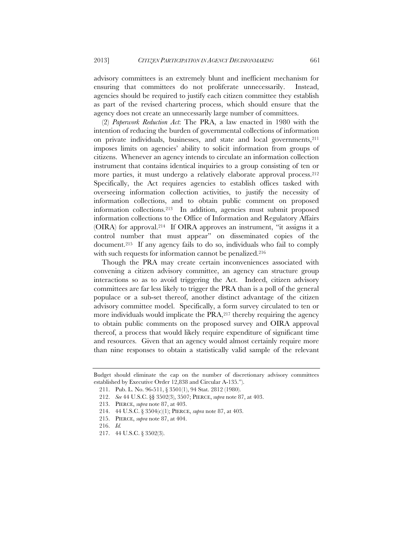advisory committees is an extremely blunt and inefficient mechanism for ensuring that committees do not proliferate unnecessarily. Instead, agencies should be required to justify each citizen committee they establish as part of the revised chartering process, which should ensure that the agency does not create an unnecessarily large number of committees.

(2) *Paperwork Reduction Act*: The PRA, a law enacted in 1980 with the intention of reducing the burden of governmental collections of information on private individuals, businesses, and state and local governments, <sup>211</sup> imposes limits on agencies' ability to solicit information from groups of citizens. Whenever an agency intends to circulate an information collection instrument that contains identical inquiries to a group consisting of ten or more parties, it must undergo a relatively elaborate approval process.212 Specifically, the Act requires agencies to establish offices tasked with overseeing information collection activities, to justify the necessity of information collections, and to obtain public comment on proposed information collections.213 In addition, agencies must submit proposed information collections to the Office of Information and Regulatory Affairs (OIRA) for approval.214 If OIRA approves an instrument, "it assigns it a control number that must appear" on disseminated copies of the document.215 If any agency fails to do so, individuals who fail to comply with such requests for information cannot be penalized.<sup>216</sup>

Though the PRA may create certain inconveniences associated with convening a citizen advisory committee, an agency can structure group interactions so as to avoid triggering the Act. Indeed, citizen advisory committees are far less likely to trigger the PRA than is a poll of the general populace or a sub-set thereof, another distinct advantage of the citizen advisory committee model. Specifically, a form survey circulated to ten or more individuals would implicate the  $PRA$ ,  $217$  thereby requiring the agency to obtain public comments on the proposed survey and OIRA approval thereof, a process that would likely require expenditure of significant time and resources. Given that an agency would almost certainly require more than nine responses to obtain a statistically valid sample of the relevant

Budget should eliminate the cap on the number of discretionary advisory committees established by Executive Order 12,838 and Circular A-135.").

 <sup>211.</sup> Pub. L. No. 96-511, § 3501(1), 94 Stat. 2812 (1980).

 <sup>212.</sup> *See* 44 U.S.C. §§ 3502(3), 3507; PIERCE, *supra* note 87, at 403.

 <sup>213.</sup> PIERCE, *supra* note 87, at 403.

 <sup>214. 44</sup> U.S.C. § 3504(c)(1); PIERCE, *supra* note 87, at 403.

 <sup>215.</sup> PIERCE, *supra* note 87, at 404.

 <sup>216.</sup> *Id.*

 <sup>217. 44</sup> U.S.C. § 3502(3).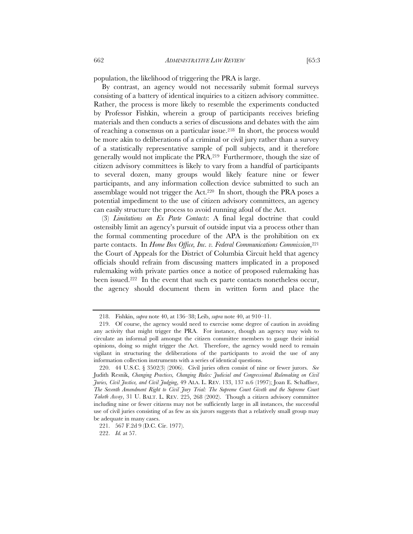population, the likelihood of triggering the PRA is large.

By contrast, an agency would not necessarily submit formal surveys consisting of a battery of identical inquiries to a citizen advisory committee. Rather, the process is more likely to resemble the experiments conducted by Professor Fishkin, wherein a group of participants receives briefing materials and then conducts a series of discussions and debates with the aim of reaching a consensus on a particular issue.218 In short, the process would be more akin to deliberations of a criminal or civil jury rather than a survey of a statistically representative sample of poll subjects, and it therefore generally would not implicate the PRA.219 Furthermore, though the size of citizen advisory committees is likely to vary from a handful of participants to several dozen, many groups would likely feature nine or fewer participants, and any information collection device submitted to such an assemblage would not trigger the Act.220 In short, though the PRA poses a potential impediment to the use of citizen advisory committees, an agency can easily structure the process to avoid running afoul of the Act.

(3) *Limitations on Ex Parte Contacts*: A final legal doctrine that could ostensibly limit an agency's pursuit of outside input via a process other than the formal commenting procedure of the APA is the prohibition on ex parte contacts. In *Home Box Office, Inc. v. Federal Communications Commission*,<sup>221</sup> the Court of Appeals for the District of Columbia Circuit held that agency officials should refrain from discussing matters implicated in a proposed rulemaking with private parties once a notice of proposed rulemaking has been issued.222 In the event that such ex parte contacts nonetheless occur, the agency should document them in written form and place the

 <sup>218.</sup> Fishkin, *supra* note 40, at 136–38; Leib, *supra* note 40, at 910–11.

 <sup>219.</sup> Of course, the agency would need to exercise some degree of caution in avoiding any activity that might trigger the PRA. For instance, though an agency may wish to circulate an informal poll amongst the citizen committee members to gauge their initial opinions, doing so might trigger the Act. Therefore, the agency would need to remain vigilant in structuring the deliberations of the participants to avoid the use of any information collection instruments with a series of identical questions.

 <sup>220. 44</sup> U.S.C. § 3502(3) (2006). Civil juries often consist of nine or fewer jurors. *See* Judith Resnik, *Changing Practices, Changing Rules: Judicial and Congressional Rulemaking on Civil Juries, Civil Justice, and Civil Judging*, 49 ALA. L. REV. 133, 137 n.6 (1997); Joan E. Schaffner, *The Seventh Amendment Right to Civil Jury Trial: The Supreme Court Giveth and the Supreme Court Taketh Away*, 31 U. BALT. L. REV. 225, 268 (2002). Though a citizen advisory committee including nine or fewer citizens may not be sufficiently large in all instances, the successful use of civil juries consisting of as few as six jurors suggests that a relatively small group may be adequate in many cases.

 <sup>221. 567</sup> F.2d 9 (D.C. Cir. 1977).

 <sup>222.</sup> *Id.* at 57.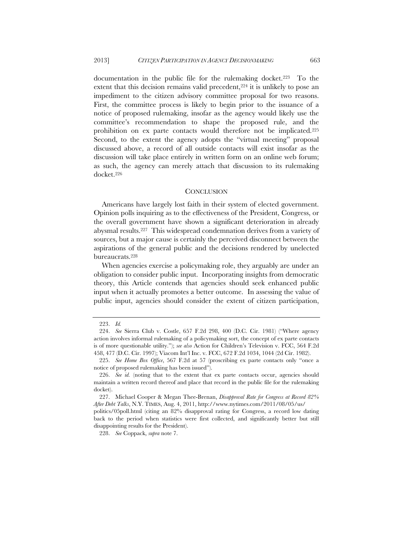documentation in the public file for the rulemaking docket.223 To the extent that this decision remains valid precedent,  $224$  it is unlikely to pose an impediment to the citizen advisory committee proposal for two reasons. First, the committee process is likely to begin prior to the issuance of a notice of proposed rulemaking, insofar as the agency would likely use the committee's recommendation to shape the proposed rule, and the prohibition on ex parte contacts would therefore not be implicated.225 Second, to the extent the agency adopts the "virtual meeting" proposal discussed above, a record of all outside contacts will exist insofar as the discussion will take place entirely in written form on an online web forum; as such, the agency can merely attach that discussion to its rulemaking docket.226

#### **CONCLUSION**

Americans have largely lost faith in their system of elected government. Opinion polls inquiring as to the effectiveness of the President, Congress, or the overall government have shown a significant deterioration in already abysmal results.227 This widespread condemnation derives from a variety of sources, but a major cause is certainly the perceived disconnect between the aspirations of the general public and the decisions rendered by unelected bureaucrats.228

When agencies exercise a policymaking role, they arguably are under an obligation to consider public input. Incorporating insights from democratic theory, this Article contends that agencies should seek enhanced public input when it actually promotes a better outcome. In assessing the value of public input, agencies should consider the extent of citizen participation,

 <sup>223.</sup> *Id.*

 <sup>224.</sup> *See* Sierra Club v. Costle, 657 F.2d 298, 400 (D.C. Cir. 1981) ("Where agency action involves informal rulemaking of a policymaking sort, the concept of ex parte contacts is of more questionable utility."); *see also* Action for Children's Television v. FCC, 564 F.2d 458, 477 (D.C. Cir. 1997); Viacom Int'l Inc. v. FCC, 672 F.2d 1034, 1044 (2d Cir. 1982).

 <sup>225.</sup> *See Home Box Office*, 567 F.2d at 57 (proscribing ex parte contacts only "once a notice of proposed rulemaking has been issued").

<sup>226.</sup> See id. (noting that to the extent that ex parte contacts occur, agencies should maintain a written record thereof and place that record in the public file for the rulemaking docket).

 <sup>227.</sup> Michael Cooper & Megan Thee-Brenan, *Disapproval Rate for Congress at Record 82% After Debt Talks*, N.Y. TIMES, Aug. 4, 2011, http://www.nytimes.com/2011/08/05/us/

politics/05poll.html (citing an 82% disapproval rating for Congress, a record low dating back to the period when statistics were first collected, and significantly better but still disappointing results for the President).

 <sup>228.</sup> *See* Coppack, *supra* note 7.